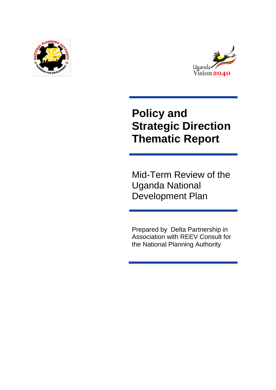



# **Policy and Strategic Direction Thematic Report**

Mid-Term Review of the Uganda National Development Plan

Prepared by Delta Partnership in Association with REEV Consult for the National Planning Authority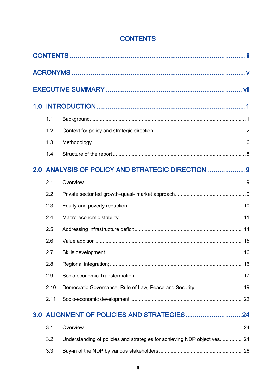<span id="page-1-0"></span>

|                                                  | 1.1  |                                                                          |  |
|--------------------------------------------------|------|--------------------------------------------------------------------------|--|
|                                                  | 1.2  |                                                                          |  |
|                                                  | 1.3  |                                                                          |  |
|                                                  | 1.4  |                                                                          |  |
| 2.0 ANALYSIS OF POLICY AND STRATEGIC DIRECTION 9 |      |                                                                          |  |
|                                                  | 2.1  |                                                                          |  |
|                                                  | 2.2  |                                                                          |  |
|                                                  | 2.3  |                                                                          |  |
|                                                  | 2.4  |                                                                          |  |
|                                                  | 2.5  |                                                                          |  |
|                                                  | 2.6  |                                                                          |  |
|                                                  | 2.7  |                                                                          |  |
|                                                  | 2.8  |                                                                          |  |
|                                                  | 2.9  |                                                                          |  |
|                                                  | 2.10 |                                                                          |  |
|                                                  | 2.11 |                                                                          |  |
|                                                  |      |                                                                          |  |
|                                                  | 3.1  |                                                                          |  |
|                                                  | 3.2  | Understanding of policies and strategies for achieving NDP objectives 24 |  |
|                                                  | 3.3  |                                                                          |  |

# **CONTENTS**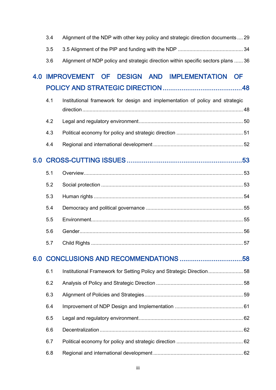|     | 3.4 | Alignment of the NDP with other key policy and strategic direction documents  29  |           |
|-----|-----|-----------------------------------------------------------------------------------|-----------|
|     | 3.5 |                                                                                   |           |
|     | 3.6 | Alignment of NDP policy and strategic direction within specific sectors plans  36 |           |
| 4.0 |     | IMPROVEMENT OF DESIGN AND IMPLEMENTATION                                          | <b>OF</b> |
|     |     |                                                                                   |           |
|     | 4.1 | Institutional framework for design and implementation of policy and strategic     |           |
|     | 4.2 |                                                                                   |           |
|     | 4.3 |                                                                                   |           |
|     | 4.4 |                                                                                   |           |
| 5.0 |     |                                                                                   |           |
|     | 5.1 |                                                                                   |           |
|     | 5.2 |                                                                                   |           |
|     | 5.3 |                                                                                   |           |
|     | 5.4 |                                                                                   |           |
|     | 5.5 |                                                                                   |           |
|     | 5.6 |                                                                                   |           |
|     | 5.7 |                                                                                   |           |
| 6.0 |     |                                                                                   |           |
|     | 6.1 | Institutional Framework for Setting Policy and Strategic Direction58              |           |
|     | 6.2 |                                                                                   |           |
|     | 6.3 |                                                                                   |           |
|     | 6.4 |                                                                                   |           |
|     | 6.5 |                                                                                   |           |
|     | 6.6 |                                                                                   |           |
|     | 6.7 |                                                                                   |           |
|     | 6.8 |                                                                                   |           |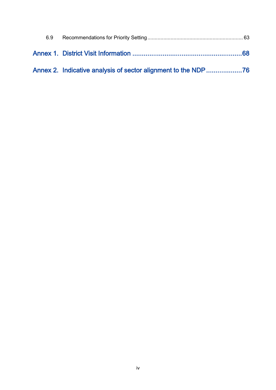| 6.9 |  |
|-----|--|
|     |  |
|     |  |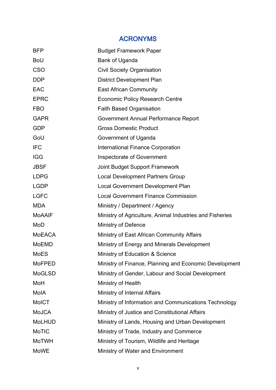# ACRONYMS

<span id="page-4-0"></span>

| <b>BFP</b>    | <b>Budget Framework Paper</b>                            |
|---------------|----------------------------------------------------------|
| <b>BoU</b>    | Bank of Uganda                                           |
| <b>CSO</b>    | <b>Civil Society Organisation</b>                        |
| <b>DDP</b>    | District Development Plan                                |
| <b>EAC</b>    | <b>East African Community</b>                            |
| <b>EPRC</b>   | <b>Economic Policy Research Centre</b>                   |
| <b>FBO</b>    | <b>Faith Based Organisation</b>                          |
| <b>GAPR</b>   | Government Annual Performance Report                     |
| <b>GDP</b>    | <b>Gross Domestic Product</b>                            |
| GoU           | Government of Uganda                                     |
| <b>IFC</b>    | <b>International Finance Corporation</b>                 |
| <b>IGG</b>    | <b>Inspectorate of Government</b>                        |
| <b>JBSF</b>   | <b>Joint Budget Support Framework</b>                    |
| <b>LDPG</b>   | <b>Local Development Partners Group</b>                  |
| <b>LGDP</b>   | Local Government Development Plan                        |
| <b>LGFC</b>   | <b>Local Government Finance Commission</b>               |
| <b>MDA</b>    | Ministry / Department / Agency                           |
| <b>MoAAIF</b> | Ministry of Agriculture, Animal Industries and Fisheries |
| MoD           | <b>Ministry of Defence</b>                               |
| <b>MoEACA</b> | Ministry of East African Community Affairs               |
| <b>MoEMD</b>  | Ministry of Energy and Minerals Development              |
| MoES          | Ministry of Education & Science                          |
| <b>MoFPED</b> | Ministry of Finance, Planning and Economic Development   |
| <b>MoGLSD</b> | Ministry of Gender, Labour and Social Development        |
| MoH           | Ministry of Health                                       |
| MolA          | Ministry of Internal Affairs                             |
| <b>MoICT</b>  | Ministry of Information and Communications Technology    |
| <b>MoJCA</b>  | Ministry of Justice and Constitutional Affairs           |
| <b>MoLHUD</b> | Ministry of Lands, Housing and Urban Development         |
| MoTIC         | Ministry of Trade, Industry and Commerce                 |
| <b>MoTWH</b>  | Ministry of Tourism, Wildlife and Heritage               |
| <b>MoWE</b>   | Ministry of Water and Environment                        |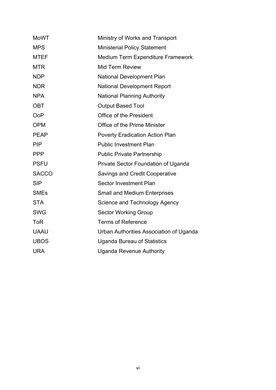| <b>MoWT</b>  | Ministry of Works and Transport         |
|--------------|-----------------------------------------|
| <b>MPS</b>   | <b>Ministerial Policy Statement</b>     |
| <b>MTEF</b>  | Medium Term Expenditure Framework       |
| <b>MTR</b>   | <b>Mid Term Review</b>                  |
| <b>NDP</b>   | <b>National Development Plan</b>        |
| <b>NDR</b>   | <b>National Development Report</b>      |
| <b>NPA</b>   | <b>National Planning Authority</b>      |
| <b>OBT</b>   | <b>Output Based Tool</b>                |
| <b>OoP</b>   | Office of the President                 |
| <b>OPM</b>   | Office of the Prime Minister            |
| <b>PEAP</b>  | <b>Poverty Eradication Action Plan</b>  |
| <b>PIP</b>   | <b>Public Investment Plan</b>           |
| <b>PPP</b>   | <b>Public Private Partnership</b>       |
| <b>PSFU</b>  | Private Sector Foundation of Uganda     |
| <b>SACCO</b> | <b>Savings and Credit Cooperative</b>   |
| <b>SIP</b>   | <b>Sector Investment Plan</b>           |
| <b>SMEs</b>  | <b>Small and Medium Enterprises</b>     |
| <b>STA</b>   | Science and Technology Agency           |
| <b>SWG</b>   | <b>Sector Working Group</b>             |
| <b>ToR</b>   | <b>Terms of Reference</b>               |
| <b>UAAU</b>  | Urban Authorities Association of Uganda |
| <b>UBOS</b>  | <b>Uganda Bureau of Statistics</b>      |
| <b>URA</b>   | <b>Uganda Revenue Authority</b>         |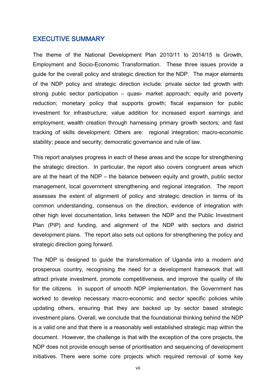## <span id="page-6-0"></span>EXECUTIVE SUMMARY

The theme of the National Development Plan 2010/11 to 2014/15 is Growth, Employment and Socio-Economic Transformation. These three issues provide a guide for the overall policy and strategic direction for the NDP. The major elements of the NDP policy and strategic direction include: private sector led growth with strong public sector participation – quasi- market approach; equity and poverty reduction; monetary policy that supports growth; fiscal expansion for public investment for infrastructure; value addition for increased export earnings and employment; wealth creation through harnessing primary growth sectors; and fast tracking of skills development. Others are: regional integration; macro-economic stability; peace and security; democratic governance and rule of law.

This report analyses progress in each of these areas and the scope for strengthening the strategic direction. In particular, the report also covers congruent areas which are at the heart of the NDP – the balance between equity and growth, public sector management, local government strengthening and regional integration. The report assesses the extent of alignment of policy and strategic direction in terms of its common understanding, consensus on the direction, evidence of integration with other high level documentation, links between the NDP and the Public Investment Plan (PIP) and funding, and alignment of the NDP with sectors and district development plans. The report also sets out options for strengthening the policy and strategic direction going forward.

The NDP is designed to guide the transformation of Uganda into a modern and prosperous country, recognising the need for a development framework that will attract private investment, promote competitiveness, and improve the quality of life for the citizens. In support of smooth NDP implementation, the Government has worked to develop necessary macro-economic and sector specific policies while updating others, ensuring that they are backed up by sector based strategic investment plans. Overall, we conclude that the foundational thinking behind the NDP is a valid one and that there is a reasonably well established strategic map within the document. However, the challenge is that with the exception of the core projects, the NDP does not provide enough sense of prioritisation and sequencing of development initiatives. There were some core projects which required removal of some key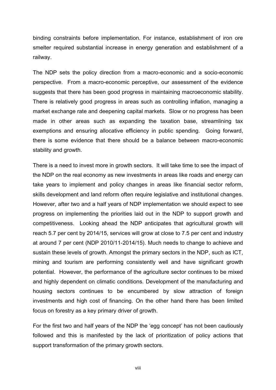binding constraints before implementation. For instance, establishment of iron ore smelter required substantial increase in energy generation and establishment of a railway.

The NDP sets the policy direction from a macro-economic and a socio-economic perspective. From a macro-economic perceptive, our assessment of the evidence suggests that there has been good progress in maintaining macroeconomic stability. There is relatively good progress in areas such as controlling inflation, managing a market exchange rate and deepening capital markets. Slow or no progress has been made in other areas such as expanding the taxation base, streamlining tax exemptions and ensuring allocative efficiency in public spending. Going forward, there is some evidence that there should be a balance between macro-economic stability and growth.

There is a need to invest more in growth sectors. It will take time to see the impact of the NDP on the real economy as new investments in areas like roads and energy can take years to implement and policy changes in areas like financial sector reform, skills development and land reform often require legislative and institutional changes. However, after two and a half years of NDP implementation we should expect to see progress on implementing the priorities laid out in the NDP to support growth and competitiveness. Looking ahead the NDP anticipates that agricultural growth will reach 5.7 per cent by 2014/15, services will grow at close to 7.5 per cent and industry at around 7 per cent (NDP 2010/11-2014/15). Much needs to change to achieve and sustain these levels of growth. Amongst the primary sectors in the NDP, such as ICT, mining and tourism are performing consistently well and have significant growth potential. However, the performance of the agriculture sector continues to be mixed and highly dependent on climatic conditions. Development of the manufacturing and housing sectors continues to be encumbered by slow attraction of foreign investments and high cost of financing. On the other hand there has been limited focus on forestry as a key primary driver of growth.

For the first two and half years of the NDP the 'egg concept' has not been cautiously followed and this is manifested by the lack of prioritization of policy actions that support transformation of the primary growth sectors.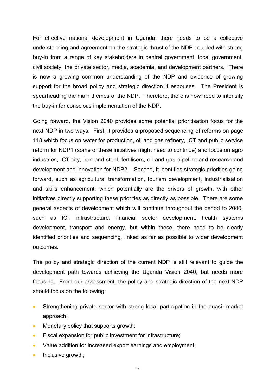For effective national development in Uganda, there needs to be a collective understanding and agreement on the strategic thrust of the NDP coupled with strong buy-in from a range of key stakeholders in central government, local government, civil society, the private sector, media, academia, and development partners. There is now a growing common understanding of the NDP and evidence of growing support for the broad policy and strategic direction it espouses. The President is spearheading the main themes of the NDP. Therefore, there is now need to intensify the buy-in for conscious implementation of the NDP.

Going forward, the Vision 2040 provides some potential prioritisation focus for the next NDP in two ways. First, it provides a proposed sequencing of reforms on page 118 which focus on water for production, oil and gas refinery, ICT and public service reform for NDP1 (some of these initiatives might need to continue) and focus on agro industries, ICT city, iron and steel, fertilisers, oil and gas pipeline and research and development and innovation for NDP2. Second, it identifies strategic priorities going forward, such as agricultural transformation, tourism development, industrialisation and skills enhancement, which potentially are the drivers of growth, with other initiatives directly supporting these priorities as directly as possible. There are some general aspects of development which will continue throughout the period to 2040, such as ICT infrastructure, financial sector development, health systems development, transport and energy, but within these, there need to be clearly identified priorities and sequencing, linked as far as possible to wider development outcomes.

The policy and strategic direction of the current NDP is still relevant to guide the development path towards achieving the Uganda Vision 2040, but needs more focusing. From our assessment, the policy and strategic direction of the next NDP should focus on the following:

- Strengthening private sector with strong local participation in the quasi- market approach;
- Monetary policy that supports growth;
- Fiscal expansion for public investment for infrastructure;
- Value addition for increased export earnings and employment;
- $\bullet$  Inclusive growth;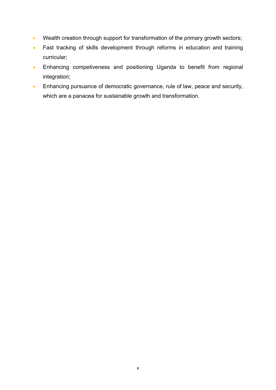- Wealth creation through support for transformation of the primary growth sectors;
- Fast tracking of skills development through reforms in education and training curricular;
- Enhancing competiveness and positioning Uganda to benefit from regional integration;
- **Enhancing pursuance of democratic governance, rule of law, peace and security,** which are a panacea for sustainable growth and transformation.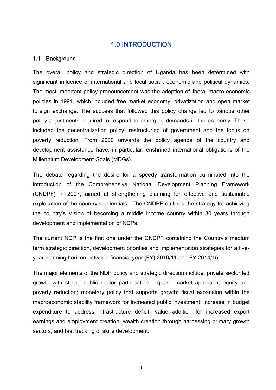## 1.0 INTRODUCTION

#### <span id="page-10-1"></span><span id="page-10-0"></span>1.1 Background

The overall policy and strategic direction of Uganda has been determined with significant influence of international and local social, economic and political dynamics. The most important policy pronouncement was the adoption of liberal macro-economic policies in 1991, which included free market economy, privatization and open market foreign exchange. The success that followed this policy change led to various other policy adjustments required to respond to emerging demands in the economy. These included the decentralization policy, restructuring of government and the focus on poverty reduction. From 2000 onwards the policy agenda of the country and development assistance have, in particular, enshrined international obligations of the Millennium Development Goals (MDGs).

The debate regarding the desire for a speedy transformation culminated into the introduction of the Comprehensive National Development Planning Framework (CNDPF) in 2007, aimed at strengthening planning for effective and sustainable exploitation of the country's potentials. The CNDPF outlines the strategy for achieving the country's Vision of becoming a middle income country within 30 years through development and implementation of NDPs.

The current NDP is the first one under the CNDPF containing the Country's medium term strategic direction, development priorities and implementation strategies for a fiveyear planning horizon between financial year (FY) 2010/11 and FY 2014/15.

The major elements of the NDP policy and strategic direction include: private sector led growth with strong public sector participation – quasi- market approach; equity and poverty reduction; monetary policy that supports growth; fiscal expansion within the macroeconomic stability framework for increased public investment; increase in budget expenditure to address infrastructure deficit; value addition for increased export earnings and employment creation; wealth creation through harnessing primary growth sectors; and fast tracking of skills development.

1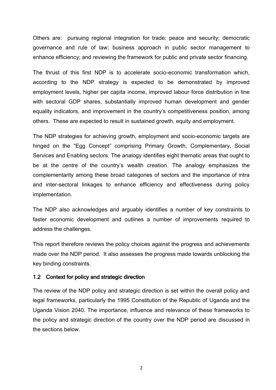Others are: pursuing regional integration for trade; peace and security; democratic governance and rule of law; business approach in public sector management to enhance efficiency; and reviewing the framework for public and private sector financing.

The thrust of this first NDP is to accelerate socio-economic transformation which, according to the NDP strategy is expected to be demonstrated by improved employment levels, higher per capita income, improved labour force distribution in line with sectoral GDP shares, substantially improved human development and gender equality indicators, and improvement in the country's competitiveness position, among others. These are expected to result in sustained growth, equity and employment.

The NDP strategies for achieving growth, employment and socio-economic targets are hinged on the "Egg Concept" comprising Primary Growth, Complementary, Social Services and Enabling sectors. The analogy identifies eight thematic areas that ought to be at the centre of the country's wealth creation. The analogy emphasizes the complementarity among these broad categories of sectors and the importance of intra and inter-sectoral linkages to enhance efficiency and effectiveness during policy implementation.

The NDP also acknowledges and arguably identifies a number of key constraints to faster economic development and outlines a number of improvements required to address the challenges.

This report therefore reviews the policy choices against the progress and achievements made over the NDP period. It also assesses the progress made towards unblocking the key binding constraints.

#### <span id="page-11-0"></span>1.2 Context for policy and strategic direction

The review of the NDP policy and strategic direction is set within the overall policy and legal frameworks, particularly the 1995 Constitution of the Republic of Uganda and the Uganda Vision 2040. The importance, influence and relevance of these frameworks to the policy and strategic direction of the country over the NDP period are discussed in the sections below.

2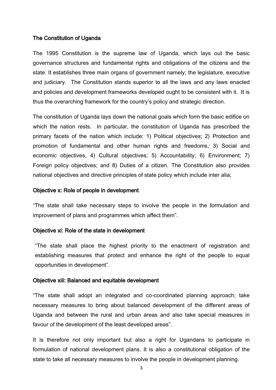#### The Constitution of Uganda

The 1995 Constitution is the supreme law of Uganda, which lays out the basic governance structures and fundamental rights and obligations of the citizens and the state. It establishes three main organs of government namely; the legislature, executive and judiciary. The Constitution stands superior to all the laws and any laws enacted and policies and development frameworks developed ought to be consistent with it. It is thus the overarching framework for the country's policy and strategic direction.

The constitution of Uganda lays down the national goals which form the basic edifice on which the nation rests. In particular, the constitution of Uganda has prescribed the primary facets of the nation which include: 1) Political objectives; 2) Protection and promotion of fundamental and other human rights and freedoms; 3) Social and economic objectives, 4) Cultural objectives; 5) Accountability; 6) Environment; 7) Foreign policy objectives; and 8) Duties of a citizen. The Constitution also provides national objectives and directive principles of state policy which include inter alia;

#### Objective x: Role of people in development

"The state shall take necessary steps to involve the people in the formulation and improvement of plans and programmes which affect them".

#### Objective xi: Role of the state in development

"The state shall place the highest priority to the enactment of registration and establishing measures that protect and enhance the right of the people to equal opportunities in development".

#### Objective xiii: Balanced and equitable development

"The state shall adopt an integrated and co-coordinated planning approach; take necessary measures to bring about balanced development of the different areas of Uganda and between the rural and urban areas and also take special measures in favour of the development of the least developed areas".

It is therefore not only important but also a right for Ugandans to participate in formulation of national development plans. It is also a constitutional obligation of the state to take all necessary measures to involve the people in development planning.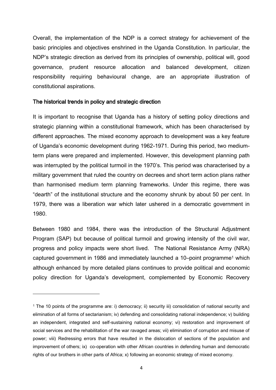Overall, the implementation of the NDP is a correct strategy for achievement of the basic principles and objectives enshrined in the Uganda Constitution. In particular, the NDP's strategic direction as derived from its principles of ownership, political will, good governance, prudent resource allocation and balanced development, citizen responsibility requiring behavioural change, are an appropriate illustration of constitutional aspirations.

#### The historical trends in policy and strategic direction

 $\overline{\phantom{a}}$ 

It is important to recognise that Uganda has a history of setting policy directions and strategic planning within a constitutional framework, which has been characterised by different approaches. The mixed economy approach to development was a key feature of Uganda's economic development during 1962-1971. During this period, two mediumterm plans were prepared and implemented. However, this development planning path was interrupted by the political turmoil in the 1970's. This period was characterised by a military government that ruled the country on decrees and short term action plans rather than harmonised medium term planning frameworks. Under this regime, there was "dearth" of the institutional structure and the economy shrunk by about 50 per cent. In 1979, there was a liberation war which later ushered in a democratic government in 1980.

Between 1980 and 1984, there was the introduction of the Structural Adjustment Program (SAP) but because of political turmoil and growing intensity of the civil war, progress and policy impacts were short lived. The National Resistance Army (NRA) captured government in 1986 and immediately launched a 10-point programme<sup>1</sup> which although enhanced by more detailed plans continues to provide political and economic policy direction for Uganda's development, complemented by Economic Recovery

<sup>1</sup> The 10 points of the programme are: i) democracy; ii) security iii) consolidation of national security and elimination of all forms of sectarianism; iv) defending and consolidating national independence; v) building an independent, integrated and self-sustaining national economy; vi) restoration and improvement of social services and the rehabilitation of the war ravaged areas; vii) elimination of corruption and misuse of power; viii) Redressing errors that have resulted in the dislocation of sections of the population and improvement of others; ix) co-operation with other African countries in defending human and democratic rights of our brothers in other parts of Africa; x) following an economic strategy of mixed economy.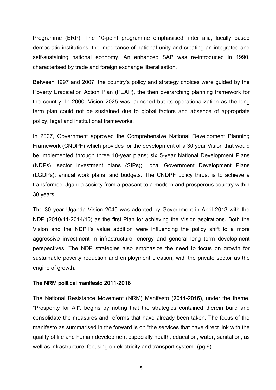Programme (ERP). The 10-point programme emphasised, inter alia, locally based democratic institutions, the importance of national unity and creating an integrated and self-sustaining national economy. An enhanced SAP was re-introduced in 1990, characterised by trade and foreign exchange liberalisation.

Between 1997 and 2007, the country's policy and strategy choices were guided by the Poverty Eradication Action Plan (PEAP), the then overarching planning framework for the country. In 2000, Vision 2025 was launched but its operationalization as the long term plan could not be sustained due to global factors and absence of appropriate policy, legal and institutional frameworks.

In 2007, Government approved the Comprehensive National Development Planning Framework (CNDPF) which provides for the development of a 30 year Vision that would be implemented through three 10-year plans; six 5-year National Development Plans (NDPs); sector investment plans (SIPs); Local Government Development Plans (LGDPs); annual work plans; and budgets. The CNDPF policy thrust is to achieve a transformed Uganda society from a peasant to a modern and prosperous country within 30 years.

The 30 year Uganda Vision 2040 was adopted by Government in April 2013 with the NDP (2010/11-2014/15) as the first Plan for achieving the Vision aspirations. Both the Vision and the NDP1's value addition were influencing the policy shift to a more aggressive investment in infrastructure, energy and general long term development perspectives. The NDP strategies also emphasize the need to focus on growth for sustainable poverty reduction and employment creation, with the private sector as the engine of growth.

#### The NRM political manifesto 2011-2016

The National Resistance Movement (NRM) Manifesto (2011-2016), under the theme, "Prosperity for All", begins by noting that the strategies contained therein build and consolidate the measures and reforms that have already been taken. The focus of the manifesto as summarised in the forward is on "the services that have direct link with the quality of life and human development especially health, education, water, sanitation, as well as infrastructure, focusing on electricity and transport system" (pg.9).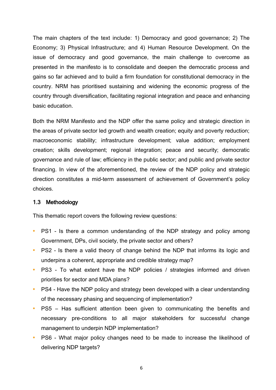The main chapters of the text include: 1) Democracy and good governance; 2) The Economy; 3) Physical Infrastructure; and 4) Human Resource Development. On the issue of democracy and good governance, the main challenge to overcome as presented in the manifesto is to consolidate and deepen the democratic process and gains so far achieved and to build a firm foundation for constitutional democracy in the country. NRM has prioritised sustaining and widening the economic progress of the country through diversification, facilitating regional integration and peace and enhancing basic education.

Both the NRM Manifesto and the NDP offer the same policy and strategic direction in the areas of private sector led growth and wealth creation; equity and poverty reduction; macroeconomic stability; infrastructure development; value addition; employment creation; skills development; regional integration; peace and security; democratic governance and rule of law; efficiency in the public sector; and public and private sector financing. In view of the aforementioned, the review of the NDP policy and strategic direction constitutes a mid-term assessment of achievement of Government's policy choices.

#### <span id="page-15-0"></span>1.3 Methodology

This thematic report covers the following review questions:

- **•** PS1 Is there a common understanding of the NDP strategy and policy among Government, DPs, civil society, the private sector and others?
- **•** PS2 Is there a valid theory of change behind the NDP that informs its logic and underpins a coherent, appropriate and credible strategy map?
- **•** PS3 To what extent have the NDP policies / strategies informed and driven priorities for sector and MDA plans?
- **•** PS4 Have the NDP policy and strategy been developed with a clear understanding of the necessary phasing and sequencing of implementation?
- **•** PS5 Has sufficient attention been given to communicating the benefits and necessary pre-conditions to all major stakeholders for successful change management to underpin NDP implementation?
- **•** PS6 What major policy changes need to be made to increase the likelihood of delivering NDP targets?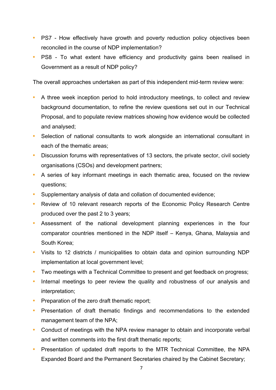- **•** PS7 How effectively have growth and poverty reduction policy objectives been reconciled in the course of NDP implementation?
- **•** PS8 To what extent have efficiency and productivity gains been realised in Government as a result of NDP policy?

The overall approaches undertaken as part of this independent mid-term review were:

- **•** A three week inception period to hold introductory meetings, to collect and review background documentation, to refine the review questions set out in our Technical Proposal, and to populate review matrices showing how evidence would be collected and analysed;
- **•** Selection of national consultants to work alongside an international consultant in each of the thematic areas;
- **•** Discussion forums with representatives of 13 sectors, the private sector, civil society organisations (CSOs) and development partners;
- **•** A series of key informant meetings in each thematic area, focused on the review questions;
- **•** Supplementary analysis of data and collation of documented evidence;
- **•** Review of 10 relevant research reports of the Economic Policy Research Centre produced over the past 2 to 3 years;
- **•** Assessment of the national development planning experiences in the four comparator countries mentioned in the NDP itself – Kenya, Ghana, Malaysia and South Korea;
- **•** Visits to 12 districts / municipalities to obtain data and opinion surrounding NDP implementation at local government level;
- **•** Two meetings with a Technical Committee to present and get feedback on progress;
- **•** Internal meetings to peer review the quality and robustness of our analysis and interpretation;
- Preparation of the zero draft thematic report;
- **•** Presentation of draft thematic findings and recommendations to the extended management team of the NPA;
- **•** Conduct of meetings with the NPA review manager to obtain and incorporate verbal and written comments into the first draft thematic reports;
- **•** Presentation of updated draft reports to the MTR Technical Committee, the NPA Expanded Board and the Permanent Secretaries chaired by the Cabinet Secretary;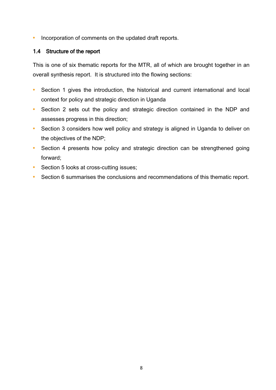**•** Incorporation of comments on the updated draft reports.

## <span id="page-17-0"></span>1.4 Structure of the report

This is one of six thematic reports for the MTR, all of which are brought together in an overall synthesis report. It is structured into the flowing sections:

- **•** Section 1 gives the introduction, the historical and current international and local context for policy and strategic direction in Uganda
- **•** Section 2 sets out the policy and strategic direction contained in the NDP and assesses progress in this direction;
- Section 3 considers how well policy and strategy is aligned in Uganda to deliver on the objectives of the NDP;
- **•** Section 4 presents how policy and strategic direction can be strengthened going forward;
- Section 5 looks at cross-cutting issues;
- **•** Section 6 summarises the conclusions and recommendations of this thematic report.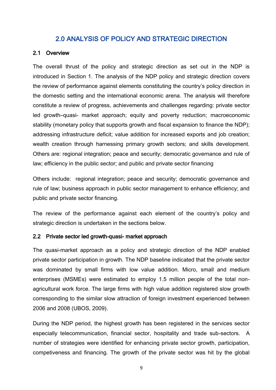## 2.0 ANALYSIS OF POLICY AND STRATEGIC DIRECTION

#### <span id="page-18-1"></span><span id="page-18-0"></span>2.1 Overview

The overall thrust of the policy and strategic direction as set out in the NDP is introduced in Section 1. The analysis of the NDP policy and strategic direction covers the review of performance against elements constituting the country's policy direction in the domestic setting and the international economic arena. The analysis will therefore constitute a review of progress, achievements and challenges regarding: private sector led growth–quasi- market approach; equity and poverty reduction; macroeconomic stability (monetary policy that supports growth and fiscal expansion to finance the NDP); addressing infrastructure deficit; value addition for increased exports and job creation; wealth creation through harnessing primary growth sectors; and skills development. Others are: regional integration; peace and security; democratic governance and rule of law; efficiency in the public sector; and public and private sector financing

Others include: regional integration; peace and security; democratic governance and rule of law; business approach in public sector management to enhance efficiency; and public and private sector financing.

The review of the performance against each element of the country's policy and strategic direction is undertaken in the sections below.

## <span id="page-18-2"></span>2.2 Private sector led growth–quasi- market approach

The quasi-market approach as a policy and strategic direction of the NDP enabled private sector participation in growth. The NDP baseline indicated that the private sector was dominated by small firms with low value addition. Micro, small and medium enterprises (MSMEs) were estimated to employ 1.5 million people of the total nonagricultural work force. The large firms with high value addition registered slow growth corresponding to the similar slow attraction of foreign investment experienced between 2006 and 2008 (UBOS, 2009).

During the NDP period, the highest growth has been registered in the services sector especially telecommunication, financial sector, hospitality and trade sub-sectors. A number of strategies were identified for enhancing private sector growth, participation, competiveness and financing. The growth of the private sector was hit by the global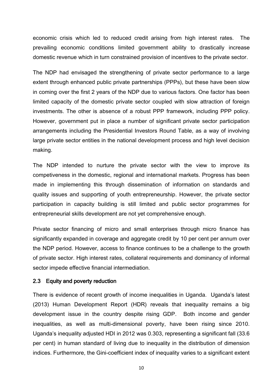economic crisis which led to reduced credit arising from high interest rates. The prevailing economic conditions limited government ability to drastically increase domestic revenue which in turn constrained provision of incentives to the private sector.

The NDP had envisaged the strengthening of private sector performance to a large extent through enhanced public private partnerships (PPPs), but these have been slow in coming over the first 2 years of the NDP due to various factors. One factor has been limited capacity of the domestic private sector coupled with slow attraction of foreign investments. The other is absence of a robust PPP framework, including PPP policy. However, government put in place a number of significant private sector participation arrangements including the Presidential Investors Round Table, as a way of involving large private sector entities in the national development process and high level decision making.

The NDP intended to nurture the private sector with the view to improve its competiveness in the domestic, regional and international markets. Progress has been made in implementing this through dissemination of information on standards and quality issues and supporting of youth entrepreneurship. However, the private sector participation in capacity building is still limited and public sector programmes for entrepreneurial skills development are not yet comprehensive enough.

Private sector financing of micro and small enterprises through micro finance has significantly expanded in coverage and aggregate credit by 10 per cent per annum over the NDP period. However, access to finance continues to be a challenge to the growth of private sector. High interest rates, collateral requirements and dominancy of informal sector impede effective financial intermediation.

#### <span id="page-19-0"></span>2.3 Equity and poverty reduction

There is evidence of recent growth of income inequalities in Uganda. Uganda's latest (2013) Human Development Report (HDR) reveals that inequality remains a big development issue in the country despite rising GDP. Both income and gender inequalities, as well as multi-dimensional poverty, have been rising since 2010. Uganda's inequality adjusted HDI in 2012 was 0.303, representing a significant fall (33.6 per cent) in human standard of living due to inequality in the distribution of dimension indices. Furthermore, the Gini-coefficient index of inequality varies to a significant extent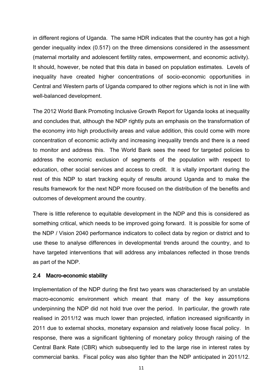in different regions of Uganda. The same HDR indicates that the country has got a high gender inequality index (0.517) on the three dimensions considered in the assessment (maternal mortality and adolescent fertility rates, empowerment, and economic activity). It should, however, be noted that this data in based on population estimates. Levels of inequality have created higher concentrations of socio-economic opportunities in Central and Western parts of Uganda compared to other regions which is not in line with well-balanced development.

The 2012 World Bank Promoting Inclusive Growth Report for Uganda looks at inequality and concludes that, although the NDP rightly puts an emphasis on the transformation of the economy into high productivity areas and value addition, this could come with more concentration of economic activity and increasing inequality trends and there is a need to monitor and address this. The World Bank sees the need for targeted policies to address the economic exclusion of segments of the population with respect to education, other social services and access to credit. It is vitally important during the rest of this NDP to start tracking equity of results around Uganda and to make the results framework for the next NDP more focused on the distribution of the benefits and outcomes of development around the country.

There is little reference to equitable development in the NDP and this is considered as something critical, which needs to be improved going forward. It is possible for some of the NDP / Vision 2040 performance indicators to collect data by region or district and to use these to analyse differences in developmental trends around the country, and to have targeted interventions that will address any imbalances reflected in those trends as part of the NDP.

#### <span id="page-20-0"></span>2.4 Macro-economic stability

Implementation of the NDP during the first two years was characterised by an unstable macro-economic environment which meant that many of the key assumptions underpinning the NDP did not hold true over the period. In particular, the growth rate realised in 2011/12 was much lower than projected, inflation increased significantly in 2011 due to external shocks, monetary expansion and relatively loose fiscal policy. In response, there was a significant tightening of monetary policy through raising of the Central Bank Rate (CBR) which subsequently led to the large rise in interest rates by commercial banks. Fiscal policy was also tighter than the NDP anticipated in 2011/12.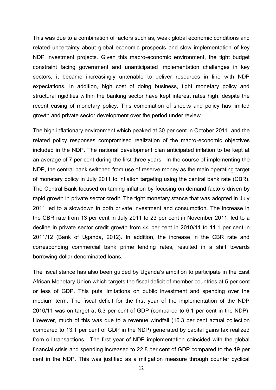This was due to a combination of factors such as, weak global economic conditions and related uncertainty about global economic prospects and slow implementation of key NDP investment projects. Given this macro-economic environment, the tight budget constraint facing government and unanticipated implementation challenges in key sectors, it became increasingly untenable to deliver resources in line with NDP expectations. In addition, high cost of doing business, tight monetary policy and structural rigidities within the banking sector have kept interest rates high, despite the recent easing of monetary policy. This combination of shocks and policy has limited growth and private sector development over the period under review.

The high inflationary environment which peaked at 30 per cent in October 2011, and the related policy responses compromised realization of the macro-economic objectives included in the NDP. The national development plan anticipated inflation to be kept at an average of 7 per cent during the first three years. In the course of implementing the NDP, the central bank switched from use of reserve money as the main operating target of monetary policy in July 2011 to inflation targeting using the central bank rate (CBR). The Central Bank focused on taming inflation by focusing on demand factors driven by rapid growth in private sector credit. The tight monetary stance that was adopted in July 2011 led to a slowdown in both private investment and consumption. The increase in the CBR rate from 13 per cent in July 2011 to 23 per cent in November 2011, led to a decline in private sector credit growth from 44 per cent in 2010/11 to 11.1 per cent in 2011/12 (Bank of Uganda, 2012). In addition, the increase in the CBR rate and corresponding commercial bank prime lending rates, resulted in a shift towards borrowing dollar denominated loans.

The fiscal stance has also been guided by Uganda's ambition to participate in the East African Monetary Union which targets the fiscal deficit of member countries at 5 per cent or less of GDP. This puts limitations on public investment and spending over the medium term. The fiscal deficit for the first year of the implementation of the NDP 2010/11 was on target at 6.3 per cent of GDP (compared to 6.1 per cent in the NDP). However, much of this was due to a revenue windfall (16.3 per cent actual collection compared to 13.1 per cent of GDP in the NDP) generated by capital gains tax realized from oil transactions. The first year of NDP implementation coincided with the global financial crisis and spending increased to 22.8 per cent of GDP compared to the 19 per cent in the NDP. This was justified as a mitigation measure through counter cyclical

12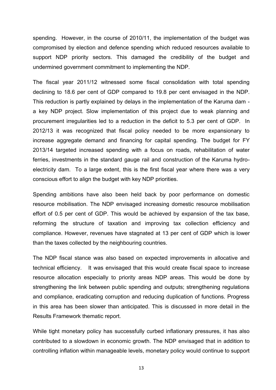spending. However, in the course of 2010/11, the implementation of the budget was compromised by election and defence spending which reduced resources available to support NDP priority sectors. This damaged the credibility of the budget and undermined government commitment to implementing the NDP.

The fiscal year 2011/12 witnessed some fiscal consolidation with total spending declining to 18.6 per cent of GDP compared to 19.8 per cent envisaged in the NDP. This reduction is partly explained by delays in the implementation of the Karuma dam a key NDP project. Slow implementation of this project due to weak planning and procurement irregularities led to a reduction in the deficit to 5.3 per cent of GDP. In 2012/13 it was recognized that fiscal policy needed to be more expansionary to increase aggregate demand and financing for capital spending. The budget for FY 2013/14 targeted increased spending with a focus on roads, rehabilitation of water ferries, investments in the standard gauge rail and construction of the Karuma hydroelectricity dam. To a large extent, this is the first fiscal year where there was a very conscious effort to align the budget with key NDP priorities.

Spending ambitions have also been held back by poor performance on domestic resource mobilisation. The NDP envisaged increasing domestic resource mobilisation effort of 0.5 per cent of GDP. This would be achieved by expansion of the tax base, reforming the structure of taxation and improving tax collection efficiency and compliance. However, revenues have stagnated at 13 per cent of GDP which is lower than the taxes collected by the neighbouring countries.

The NDP fiscal stance was also based on expected improvements in allocative and technical efficiency. It was envisaged that this would create fiscal space to increase resource allocation especially to priority areas NDP areas. This would be done by strengthening the link between public spending and outputs; strengthening regulations and compliance, eradicating corruption and reducing duplication of functions. Progress in this area has been slower than anticipated. This is discussed in more detail in the Results Framework thematic report.

While tight monetary policy has successfully curbed inflationary pressures, it has also contributed to a slowdown in economic growth. The NDP envisaged that in addition to controlling inflation within manageable levels, monetary policy would continue to support

13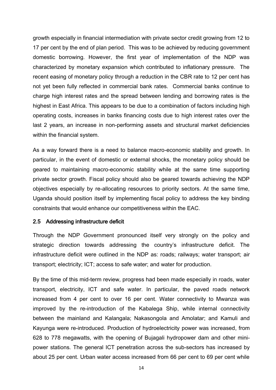growth especially in financial intermediation with private sector credit growing from 12 to 17 per cent by the end of plan period. This was to be achieved by reducing government domestic borrowing. However, the first year of implementation of the NDP was characterized by monetary expansion which contributed to inflationary pressure. The recent easing of monetary policy through a reduction in the CBR rate to 12 per cent has not yet been fully reflected in commercial bank rates. Commercial banks continue to charge high interest rates and the spread between lending and borrowing rates is the highest in East Africa. This appears to be due to a combination of factors including high operating costs, increases in banks financing costs due to high interest rates over the last 2 years, an increase in non-performing assets and structural market deficiencies within the financial system.

As a way forward there is a need to balance macro-economic stability and growth. In particular, in the event of domestic or external shocks, the monetary policy should be geared to maintaining macro-economic stability while at the same time supporting private sector growth. Fiscal policy should also be geared towards achieving the NDP objectives especially by re-allocating resources to priority sectors. At the same time, Uganda should position itself by implementing fiscal policy to address the key binding constraints that would enhance our competitiveness within the EAC.

#### <span id="page-23-0"></span>2.5 Addressing infrastructure deficit

Through the NDP Government pronounced itself very strongly on the policy and strategic direction towards addressing the country's infrastructure deficit. The infrastructure deficit were outlined in the NDP as: roads; railways; water transport; air transport; electricity; ICT; access to safe water; and water for production.

By the time of this mid-term review, progress had been made especially in roads, water transport, electricity, ICT and safe water. In particular, the paved roads network increased from 4 per cent to over 16 per cent. Water connectivity to Mwanza was improved by the re-introduction of the Kabalega Ship, while internal connectivity between the mainland and Kalangala; Nakasongola and Amolatar; and Kamuli and Kayunga were re-introduced. Production of hydroelectricity power was increased, from 628 to 778 megawatts, with the opening of Bujagali hydropower dam and other minipower stations. The general ICT penetration across the sub-sectors has increased by about 25 per cent. Urban water access increased from 66 per cent to 69 per cent while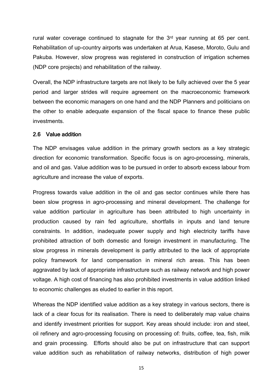rural water coverage continued to stagnate for the 3<sup>rd</sup> year running at 65 per cent. Rehabilitation of up-country airports was undertaken at Arua, Kasese, Moroto, Gulu and Pakuba. However, slow progress was registered in construction of irrigation schemes (NDP core projects) and rehabilitation of the railway.

Overall, the NDP infrastructure targets are not likely to be fully achieved over the 5 year period and larger strides will require agreement on the macroeconomic framework between the economic managers on one hand and the NDP Planners and politicians on the other to enable adequate expansion of the fiscal space to finance these public investments.

#### <span id="page-24-0"></span>2.6 Value addition

The NDP envisages value addition in the primary growth sectors as a key strategic direction for economic transformation. Specific focus is on agro-processing, minerals, and oil and gas. Value addition was to be pursued in order to absorb excess labour from agriculture and increase the value of exports.

Progress towards value addition in the oil and gas sector continues while there has been slow progress in agro-processing and mineral development. The challenge for value addition particular in agriculture has been attributed to high uncertainty in production caused by rain fed agriculture, shortfalls in inputs and land tenure constraints. In addition, inadequate power supply and high electricity tariffs have prohibited attraction of both domestic and foreign investment in manufacturing. The slow progress in minerals development is partly attributed to the lack of appropriate policy framework for land compensation in mineral rich areas. This has been aggravated by lack of appropriate infrastructure such as railway network and high power voltage. A high cost of financing has also prohibited investments in value addition linked to economic challenges as eluded to earlier in this report.

Whereas the NDP identified value addition as a key strategy in various sectors, there is lack of a clear focus for its realisation. There is need to deliberately map value chains and identify investment priorities for support. Key areas should include: iron and steel, oil refinery and agro-processing focusing on processing of: fruits, coffee, tea, fish, milk and grain processing. Efforts should also be put on infrastructure that can support value addition such as rehabilitation of railway networks, distribution of high power

15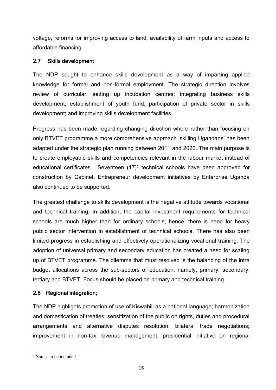voltage, reforms for improving access to land, availability of farm inputs and access to affordable financing.

## <span id="page-25-0"></span>2.7 Skills development

The NDP sought to enhance skills development as a way of imparting applied knowledge for formal and non-formal employment. The strategic direction involves review of curricular; setting up incubation centres; integrating business skills development; establishment of youth fund; participation of private sector in skills development; and improving skills development facilities.

Progress has been made regarding changing direction where rather than focusing on only BTVET programme a more comprehensive approach 'skilling Ugandans' has been adapted under the strategic plan running between 2011 and 2020. The main purpose is to create employable skills and competencies relevant in the labour market instead of educational certificates. Seventeen (17)<sup>2</sup> technical schools have been approved for construction by Cabinet. Entrepreneur development initiatives by Enterprise Uganda also continued to be supported.

The greatest challenge to skills development is the negative attitude towards vocational and technical training. In addition, the capital investment requirements for technical schools are much higher than for ordinary schools, hence, there is need for heavy public sector intervention in establishment of technical schools. There has also been limited progress in establishing and effectively operationalizing vocational training. The adoption of universal primary and secondary education has created a need for scaling up of BTVET programme. The dilemma that must resolved is the balancing of the intra budget allocations across the sub-sectors of education, namely; primary, secondary, tertiary and BTVET. Focus should be placed on primary and technical training

## <span id="page-25-1"></span>2.8 Regional integration;

The NDP highlights promotion of use of Kiswahili as a national language; harmonization and domestication of treaties; sensitization of the public on rights, duties and procedural arrangements and alternative disputes resolution; bilateral trade negotiations; improvement in non-tax revenue management; presidential initiative on regional

 $\overline{a}$ 

<sup>2</sup> Names to be included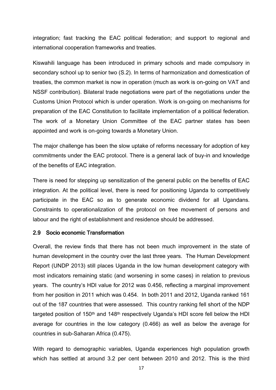integration; fast tracking the EAC political federation; and support to regional and international cooperation frameworks and treaties.

Kiswahili language has been introduced in primary schools and made compulsory in secondary school up to senior two (S.2). In terms of harmonization and domestication of treaties, the common market is now in operation (much as work is on-going on VAT and NSSF contribution). Bilateral trade negotiations were part of the negotiations under the Customs Union Protocol which is under operation. Work is on-going on mechanisms for preparation of the EAC Constitution to facilitate implementation of a political federation. The work of a Monetary Union Committee of the EAC partner states has been appointed and work is on-going towards a Monetary Union.

The major challenge has been the slow uptake of reforms necessary for adoption of key commitments under the EAC protocol. There is a general lack of buy-in and knowledge of the benefits of EAC integration.

There is need for stepping up sensitization of the general public on the benefits of EAC integration. At the political level, there is need for positioning Uganda to competitively participate in the EAC so as to generate economic dividend for all Ugandans. Constraints to operationalization of the protocol on free movement of persons and labour and the right of establishment and residence should be addressed.

#### <span id="page-26-0"></span>2.9 Socio economic Transformation

Overall, the review finds that there has not been much improvement in the state of human development in the country over the last three years. The Human Development Report (UNDP 2013) still places Uganda in the low human development category with most indicators remaining static (and worsening in some cases) in relation to previous years. The country's HDI value for 2012 was 0.456, reflecting a marginal improvement from her position in 2011 which was 0.454. In both 2011 and 2012, Uganda ranked 161 out of the 187 countries that were assessed. This country ranking fell short of the NDP targeted position of 150th and 148th respectively Uganda's HDI score fell below the HDI average for countries in the low category (0.466) as well as below the average for countries in sub-Saharan Africa (0.475).

With regard to demographic variables, Uganda experiences high population growth which has settled at around 3.2 per cent between 2010 and 2012. This is the third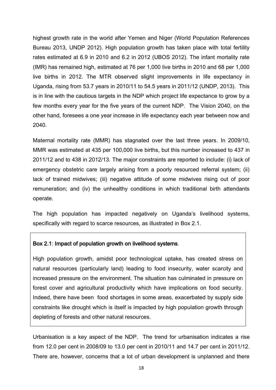highest growth rate in the world after Yemen and Niger (World Population References Bureau 2013, UNDP 2012). High population growth has taken place with total fertility rates estimated at 6.9 in 2010 and 6.2 in 2012 (UBOS 2012). The infant mortality rate (IMR) has remained high, estimated at 76 per 1,000 live births in 2010 and 68 per 1,000 live births in 2012. The MTR observed slight improvements in life expectancy in Uganda, rising from 53.7 years in 2010/11 to 54.5 years in 2011/12 (UNDP, 2013). This is in line with the cautious targets in the NDP which project life expectance to grow by a few months every year for the five years of the current NDP. The Vision 2040, on the other hand, foresees a one year increase in life expectancy each year between now and 2040.

Maternal mortality rate (MMR) has stagnated over the last three years. In 2009/10, MMR was estimated at 435 per 100,000 live births, but this number increased to 437 in 2011/12 and to 438 in 2012/13. The major constraints are reported to include: (i) lack of emergency obstetric care largely arising from a poorly resourced referral system; (ii) lack of trained midwives; (iii) negative attitude of some midwives rising out of poor remuneration; and (iv) the unhealthy conditions in which traditional birth attendants operate.

The high population has impacted negatively on Uganda's livelihood systems, specifically with regard to scarce resources, as illustrated in Box 2.1.

#### Box 2.1: Impact of population growth on livelihood systems.

High population growth, amidst poor technological uptake, has created stress on natural resources (particularly land) leading to food insecurity, water scarcity and increased pressure on the environment. The situation has culminated in pressure on forest cover and agricultural productivity which have implications on food security. Indeed, there have been food shortages in some areas, exacerbated by supply side constraints like drought which is itself is impacted by high population growth through depleting of forests and other natural resources.

Urbanisation is a key aspect of the NDP. The trend for urbanisation indicates a rise from 12.0 per cent in 2008/09 to 13.0 per cent in 2010/11 and 14.7 per cent in 2011/12. There are, however, concerns that a lot of urban development is unplanned and there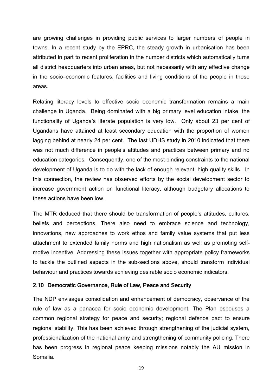are growing challenges in providing public services to larger numbers of people in towns. In a recent study by the EPRC, the steady growth in urbanisation has been attributed in part to recent proliferation in the number districts which automatically turns all district headquarters into urban areas, but not necessarily with any effective change in the socio–economic features, facilities and living conditions of the people in those areas.

Relating literacy levels to effective socio economic transformation remains a main challenge in Uganda. Being dominated with a big primary level education intake, the functionality of Uganda's literate population is very low. Only about 23 per cent of Ugandans have attained at least secondary education with the proportion of women lagging behind at nearly 24 per cent. The last UDHS study in 2010 indicated that there was not much difference in people's attitudes and practices between primary and no education categories. Consequently, one of the most binding constraints to the national development of Uganda is to do with the lack of enough relevant, high quality skills. In this connection, the review has observed efforts by the social development sector to increase government action on functional literacy, although budgetary allocations to these actions have been low.

The MTR deduced that there should be transformation of people's attitudes, cultures, beliefs and perceptions. There also need to embrace science and technology, innovations, new approaches to work ethos and family value systems that put less attachment to extended family norms and high nationalism as well as promoting selfmotive incentive. Addressing these issues together with appropriate policy frameworks to tackle the outlined aspects in the sub-sections above, should transform individual behaviour and practices towards achieving desirable socio economic indicators.

#### <span id="page-28-0"></span>2.10 Democratic Governance, Rule of Law, Peace and Security

The NDP envisages consolidation and enhancement of democracy, observance of the rule of law as a panacea for socio economic development. The Plan espouses a common regional strategy for peace and security; regional defence pact to ensure regional stability. This has been achieved through strengthening of the judicial system, professionalization of the national army and strengthening of community policing. There has been progress in regional peace keeping missions notably the AU mission in Somalia.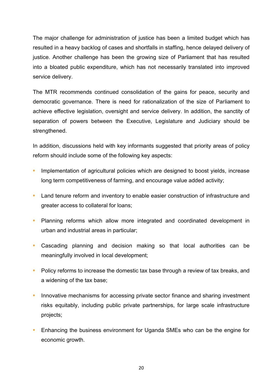The major challenge for administration of justice has been a limited budget which has resulted in a heavy backlog of cases and shortfalls in staffing, hence delayed delivery of justice. Another challenge has been the growing size of Parliament that has resulted into a bloated public expenditure, which has not necessarily translated into improved service delivery.

The MTR recommends continued consolidation of the gains for peace, security and democratic governance. There is need for rationalization of the size of Parliament to achieve effective legislation, oversight and service delivery. In addition, the sanctity of separation of powers between the Executive, Legislature and Judiciary should be strengthened.

In addition, discussions held with key informants suggested that priority areas of policy reform should include some of the following key aspects:

- **•** Implementation of agricultural policies which are designed to boost yields, increase long term competitiveness of farming, and encourage value added activity;
- **•** Land tenure reform and inventory to enable easier construction of infrastructure and greater access to collateral for loans;
- **•** Planning reforms which allow more integrated and coordinated development in urban and industrial areas in particular;
- **•** Cascading planning and decision making so that local authorities can be meaningfully involved in local development;
- **•** Policy reforms to increase the domestic tax base through a review of tax breaks, and a widening of the tax base;
- **•** Innovative mechanisms for accessing private sector finance and sharing investment risks equitably, including public private partnerships, for large scale infrastructure projects;
- **•** Enhancing the business environment for Uganda SMEs who can be the engine for economic growth.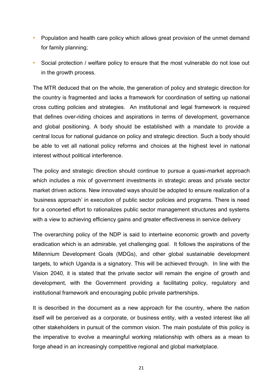- **•** Population and health care policy which allows great provision of the unmet demand for family planning;
- **•** Social protection / welfare policy to ensure that the most vulnerable do not lose out in the growth process.

The MTR deduced that on the whole, the generation of policy and strategic direction for the country is fragmented and lacks a framework for coordination of setting up national cross cutting policies and strategies. An institutional and legal framework is required that defines over-riding choices and aspirations in terms of development, governance and global positioning. A body should be established with a mandate to provide a central locus for national guidance on policy and strategic direction. Such a body should be able to vet all national policy reforms and choices at the highest level in national interest without political interference.

The policy and strategic direction should continue to pursue a quasi-market approach which includes a mix of government investments in strategic areas and private sector market driven actions. New innovated ways should be adopted to ensure realization of a 'business approach' in execution of public sector policies and programs. There is need for a concerted effort to rationalizes public sector management structures and systems with a view to achieving efficiency gains and greater effectiveness in service delivery

The overarching policy of the NDP is said to intertwine economic growth and poverty eradication which is an admirable, yet challenging goal. It follows the aspirations of the Millennium Development Goals (MDGs), and other global sustainable development targets, to which Uganda is a signatory. This will be achieved through. In line with the Vision 2040, it is stated that the private sector will remain the engine of growth and development, with the Government providing a facilitating policy, regulatory and institutional framework and encouraging public private partnerships.

It is described in the document as a new approach for the country, where the nation itself will be perceived as a corporate, or business entity, with a vested interest like all other stakeholders in pursuit of the common vision. The main postulate of this policy is the imperative to evolve a meaningful working relationship with others as a mean to forge ahead in an increasingly competitive regional and global marketplace.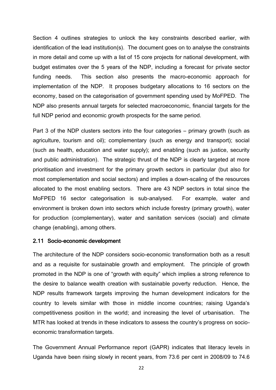Section 4 outlines strategies to unlock the key constraints described earlier, with identification of the lead institution(s). The document goes on to analyse the constraints in more detail and come up with a list of 15 core projects for national development, with budget estimates over the 5 years of the NDP, including a forecast for private sector funding needs. This section also presents the macro-economic approach for implementation of the NDP. It proposes budgetary allocations to 16 sectors on the economy, based on the categorisation of government spending used by MoFPED. The NDP also presents annual targets for selected macroeconomic, financial targets for the full NDP period and economic growth prospects for the same period.

Part 3 of the NDP clusters sectors into the four categories – primary growth (such as agriculture, tourism and oil); complementary (such as energy and transport); social (such as health, education and water supply); and enabling (such as justice, security and public administration). The strategic thrust of the NDP is clearly targeted at more prioritisation and investment for the primary growth sectors in particular (but also for most complementation and social sectors) and implies a down-scaling of the resources allocated to the most enabling sectors. There are 43 NDP sectors in total since the MoFPED 16 sector categorisation is sub-analysed. For example, water and environment is broken down into sectors which include forestry (primary growth), water for production (complementary), water and sanitation services (social) and climate change (enabling), among others.

#### <span id="page-31-0"></span>2.11 Socio-economic development

The architecture of the NDP considers socio-economic transformation both as a result and as a requisite for sustainable growth and employment. The principle of growth promoted in the NDP is one of "growth with equity" which implies a strong reference to the desire to balance wealth creation with sustainable poverty reduction. Hence, the NDP results framework targets improving the human development indicators for the country to levels similar with those in middle income countries; raising Uganda's competitiveness position in the world; and increasing the level of urbanisation. The MTR has looked at trends in these indicators to assess the country's progress on socioeconomic transformation targets.

The Government Annual Performance report (GAPR) indicates that literacy levels in Uganda have been rising slowly in recent years, from 73.6 per cent in 2008/09 to 74.6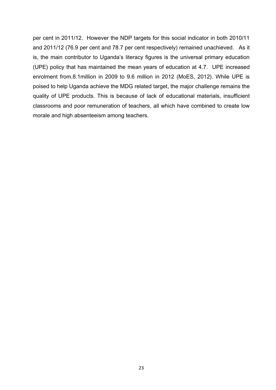per cent in 2011/12. However the NDP targets for this social indicator in both 2010/11 and 2011/12 (76.9 per cent and 78.7 per cent respectively) remained unachieved. As it is, the main contributor to Uganda's literacy figures is the universal primary education (UPE) policy that has maintained the mean years of education at 4.7. UPE increased enrolment from.8.1million in 2009 to 9.6 million in 2012 (MoES, 2012). While UPE is poised to help Uganda achieve the MDG related target, the major challenge remains the quality of UPE products. This is because of lack of educational materials, insufficient classrooms and poor remuneration of teachers, all which have combined to create low morale and high absenteeism among teachers.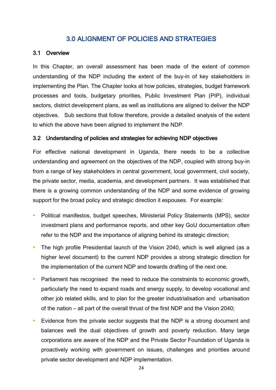## 3.0 ALIGNMENT OF POLICIES AND STRATEGIES

#### <span id="page-33-1"></span><span id="page-33-0"></span>3.1 Overview

In this Chapter, an overall assessment has been made of the extent of common understanding of the NDP including the extent of the buy-in of key stakeholders in implementing the Plan. The Chapter looks at how policies, strategies, budget framework processes and tools, budgetary priorities, Public Investment Plan (PIP), individual sectors, district development plans, as well as institutions are aligned to deliver the NDP objectives. Sub sections that follow therefore, provide a detailed analysis of the extent to which the above have been aligned to implement the NDP.

#### <span id="page-33-2"></span>3.2 Understanding of policies and strategies for achieving NDP objectives

For effective national development in Uganda, there needs to be a collective understanding and agreement on the objectives of the NDP, coupled with strong buy-in from a range of key stakeholders in central government, local government, civil society, the private sector, media, academia, and development partners. It was established that there is a growing common understanding of the NDP and some evidence of growing support for the broad policy and strategic direction it espouses. For example:

- **•** Political manifestos, budget speeches, Ministerial Policy Statements (MPS), sector investment plans and performance reports, and other key GoU documentation often refer to the NDP and the importance of aligning behind its strategic direction;
- **•** The high profile Presidential launch of the Vision 2040, which is well aligned (as a higher level document) to the current NDP provides a strong strategic direction for the implementation of the current NDP and towards drafting of the next one.
- **•** Parliament has recognised the need to reduce the constraints to economic growth, particularly the need to expand roads and energy supply, to develop vocational and other job related skills, and to plan for the greater industrialisation and urbanisation of the nation – all part of the overall thrust of the first NDP and the Vision 2040;
- **•** Evidence from the private sector suggests that the NDP is a strong document and balances well the dual objectives of growth and poverty reduction. Many large corporations are aware of the NDP and the Private Sector Foundation of Uganda is proactively working with government on issues, challenges and priorities around private sector development and NDP implementation.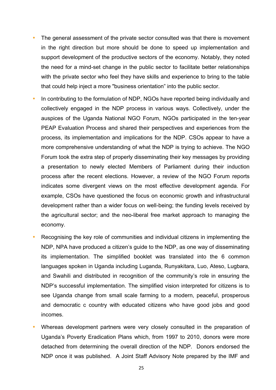- **•** The general assessment of the private sector consulted was that there is movement in the right direction but more should be done to speed up implementation and support development of the productive sectors of the economy. Notably, they noted the need for a mind-set change in the public sector to facilitate better relationships with the private sector who feel they have skills and experience to bring to the table that could help inject a more "business orientation" into the public sector.
- **•** In contributing to the formulation of NDP, NGOs have reported being individually and collectively engaged in the NDP process in various ways. Collectively, under the auspices of the Uganda National NGO Forum, NGOs participated in the ten-year PEAP Evaluation Process and shared their perspectives and experiences from the process, its implementation and implications for the NDP. CSOs appear to have a more comprehensive understanding of what the NDP is trying to achieve. The NGO Forum took the extra step of properly disseminating their key messages by providing a presentation to newly elected Members of Parliament during their induction process after the recent elections. However, a review of the NGO Forum reports indicates some divergent views on the most effective development agenda. For example, CSOs have questioned the focus on economic growth and infrastructural development rather than a wider focus on well-being; the funding levels received by the agricultural sector; and the neo-liberal free market approach to managing the economy.
- **•** Recognising the key role of communities and individual citizens in implementing the NDP, NPA have produced a citizen's guide to the NDP, as one way of disseminating its implementation. The simplified booklet was translated into the 6 common languages spoken in Uganda including Luganda, Runyakitara, Luo, Ateso, Lugbara, and Swahili and distributed in recognition of the community's role in ensuring the NDP's successful implementation. The simplified vision interpreted for citizens is to see Uganda change from small scale farming to a modern, peaceful, prosperous and democratic c country with educated citizens who have good jobs and good incomes.
- **•** Whereas development partners were very closely consulted in the preparation of Uganda's Poverty Eradication Plans which, from 1997 to 2010, donors were more detached from determining the overall direction of the NDP. Donors endorsed the NDP once it was published. A Joint Staff Advisory Note prepared by the IMF and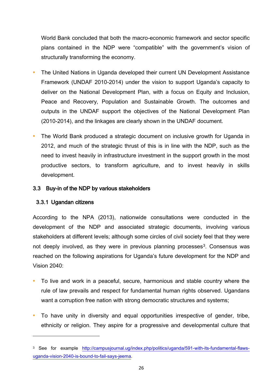World Bank concluded that both the macro-economic framework and sector specific plans contained in the NDP were "compatible" with the government's vision of structurally transforming the economy.

- **•** The United Nations in Uganda developed their current UN Development Assistance Framework (UNDAF 2010-2014) under the vision to support Uganda's capacity to deliver on the National Development Plan, with a focus on Equity and Inclusion, Peace and Recovery, Population and Sustainable Growth. The outcomes and outputs in the UNDAF support the objectives of the National Development Plan (2010-2014), and the linkages are clearly shown in the UNDAF document.
- **•** The World Bank produced a strategic document on inclusive growth for Uganda in 2012, and much of the strategic thrust of this is in line with the NDP, such as the need to invest heavily in infrastructure investment in the support growth in the most productive sectors, to transform agriculture, and to invest heavily in skills development.

#### <span id="page-35-0"></span>3.3 Buy-in of the NDP by various stakeholders

#### 3.3.1 Ugandan citizens

 $\overline{\phantom{a}}$ 

According to the NPA (2013), nationwide consultations were conducted in the development of the NDP and associated strategic documents, involving various stakeholders at different levels; although some circles of civil society feel that they were not deeply involved, as they were in previous planning processes<sup>3</sup>. Consensus was reached on the following aspirations for Uganda's future development for the NDP and Vision 2040:

- **•** To live and work in a peaceful, secure, harmonious and stable country where the rule of law prevails and respect for fundamental human rights observed. Ugandans want a corruption free nation with strong democratic structures and systems;
- **•** To have unity in diversity and equal opportunities irrespective of gender, tribe, ethnicity or religion. They aspire for a progressive and developmental culture that

<sup>3</sup> See for example [http://campusjournal.ug/index.php/politics/uganda/591-with-its-fundamental-flaws](http://campusjournal.ug/index.php/politics/uganda/591-with-its-fundamental-flaws-uganda-vision-2040-is-bound-to-fail-says-jeema)[uganda-vision-2040-is-bound-to-fail-says-jeema.](http://campusjournal.ug/index.php/politics/uganda/591-with-its-fundamental-flaws-uganda-vision-2040-is-bound-to-fail-says-jeema)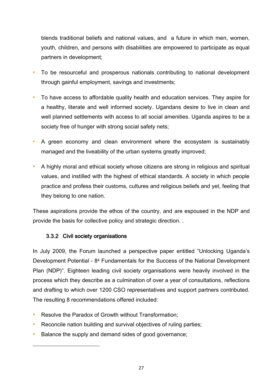blends traditional beliefs and national values, and a future in which men, women, youth, children, and persons with disabilities are empowered to participate as equal partners in development;

- **•** To be resourceful and prosperous nationals contributing to national development through gainful employment, savings and investments;
- **•** To have access to affordable quality health and education services. They aspire for a healthy, literate and well informed society. Ugandans desire to live in clean and well planned settlements with access to all social amenities. Uganda aspires to be a society free of hunger with strong social safety nets;
- **•** A green economy and clean environment where the ecosystem is sustainably managed and the liveability of the urban systems greatly improved;
- **•** A highly moral and ethical society whose citizens are strong in religious and spiritual values, and instilled with the highest of ethical standards. A society in which people practice and profess their customs, cultures and religious beliefs and yet, feeling that they belong to one nation.

These aspirations provide the ethos of the country, and are espoused in the NDP and provide the basis for collective policy and strategic direction. .

## 3.3.2 Civil society organisations

 $\overline{a}$ 

In July 2009, the Forum launched a perspective paper entitled "Unlocking Uganda's Development Potential - 8<sup>4</sup> Fundamentals for the Success of the National Development Plan (NDP)". Eighteen leading civil society organisations were heavily involved in the process which they describe as a culmination of over a year of consultations, reflections and drafting to which over 1200 CSO representatives and support partners contributed. The resulting 8 recommendations offered included:

- **•** Resolve the Paradox of Growth without Transformation;
- **•** Reconcile nation building and survival objectives of ruling parties;
- **•** Balance the supply and demand sides of good governance;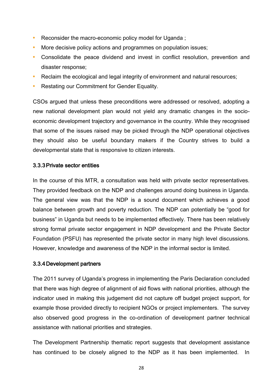- **•** Reconsider the macro-economic policy model for Uganda ;
- More decisive policy actions and programmes on population issues;
- **•** Consolidate the peace dividend and invest in conflict resolution, prevention and disaster response;
- **•** Reclaim the ecological and legal integrity of environment and natural resources;
- **•** Restating our Commitment for Gender Equality.

CSOs argued that unless these preconditions were addressed or resolved, adopting a new national development plan would not yield any dramatic changes in the socioeconomic development trajectory and governance in the country. While they recognised that some of the issues raised may be picked through the NDP operational objectives they should also be useful boundary makers if the Country strives to build a developmental state that is responsive to citizen interests.

#### 3.3.3Private sector entities

In the course of this MTR, a consultation was held with private sector representatives. They provided feedback on the NDP and challenges around doing business in Uganda. The general view was that the NDP is a sound document which achieves a good balance between growth and poverty reduction. The NDP can potentially be "good for business" in Uganda but needs to be implemented effectively. There has been relatively strong formal private sector engagement in NDP development and the Private Sector Foundation (PSFU) has represented the private sector in many high level discussions. However, knowledge and awareness of the NDP in the informal sector is limited.

#### 3.3.4Development partners

The 2011 survey of Uganda's progress in implementing the Paris Declaration concluded that there was high degree of alignment of aid flows with national priorities, although the indicator used in making this judgement did not capture off budget project support, for example those provided directly to recipient NGOs or project implementers. The survey also observed good progress in the co-ordination of development partner technical assistance with national priorities and strategies.

The Development Partnership thematic report suggests that development assistance has continued to be closely aligned to the NDP as it has been implemented. In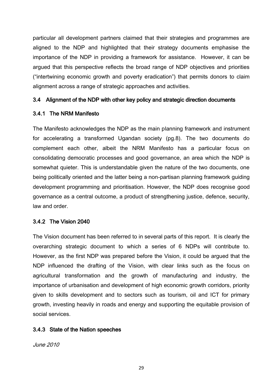particular all development partners claimed that their strategies and programmes are aligned to the NDP and highlighted that their strategy documents emphasise the importance of the NDP in providing a framework for assistance. However, it can be argued that this perspective reflects the broad range of NDP objectives and priorities ("intertwining economic growth and poverty eradication") that permits donors to claim alignment across a range of strategic approaches and activities.

## 3.4 Alignment of the NDP with other key policy and strategic direction documents

## 3.4.1 The NRM Manifesto

The Manifesto acknowledges the NDP as the main planning framework and instrument for accelerating a transformed Ugandan society (pg.8). The two documents do complement each other, albeit the NRM Manifesto has a particular focus on consolidating democratic processes and good governance, an area which the NDP is somewhat quieter. This is understandable given the nature of the two documents, one being politically oriented and the latter being a non-partisan planning framework guiding development programming and prioritisation. However, the NDP does recognise good governance as a central outcome, a product of strengthening justice, defence, security, law and order.

## 3.4.2 The Vision 2040

The Vision document has been referred to in several parts of this report. It is clearly the overarching strategic document to which a series of 6 NDPs will contribute to. However, as the first NDP was prepared before the Vision, it could be argued that the NDP influenced the drafting of the Vision, with clear links such as the focus on agricultural transformation and the growth of manufacturing and industry, the importance of urbanisation and development of high economic growth corridors, priority given to skills development and to sectors such as tourism, oil and ICT for primary growth, investing heavily in roads and energy and supporting the equitable provision of social services.

#### 3.4.3 State of the Nation speeches

June 2010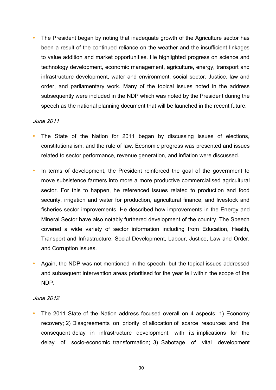**•** The President began by noting that inadequate growth of the Agriculture sector has been a result of the continued reliance on the weather and the insufficient linkages to value addition and market opportunities. He highlighted progress on science and technology development, economic management, agriculture, energy, transport and infrastructure development, water and environment, social sector. Justice, law and order, and parliamentary work. Many of the topical issues noted in the address subsequently were included in the NDP which was noted by the President during the speech as the national planning document that will be launched in the recent future.

#### June 2011

- **•** The State of the Nation for 2011 began by discussing issues of elections, constitutionalism, and the rule of law. Economic progress was presented and issues related to sector performance, revenue generation, and inflation were discussed.
- In terms of development, the President reinforced the goal of the government to move subsistence farmers into more a more productive commercialised agricultural sector. For this to happen, he referenced issues related to production and food security, irrigation and water for production, agricultural finance, and livestock and fisheries sector improvements. He described how improvements in the Energy and Mineral Sector have also notably furthered development of the country. The Speech covered a wide variety of sector information including from Education, Health, Transport and Infrastructure, Social Development, Labour, Justice, Law and Order, and Corruption issues.
- **•** Again, the NDP was not mentioned in the speech, but the topical issues addressed and subsequent intervention areas prioritised for the year fell within the scope of the NDP.

#### June 2012

**•** The 2011 State of the Nation address focused overall on 4 aspects: 1) Economy recovery; 2) Disagreements on priority of allocation of scarce resources and the consequent delay in infrastructure development, with its implications for the delay of socio-economic transformation; 3) Sabotage of vital development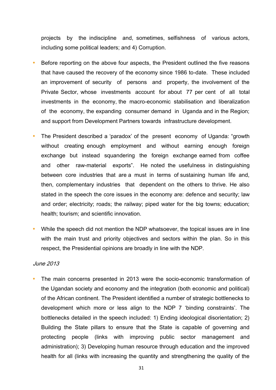projects by the indiscipline and, sometimes, selfishness of various actors, including some political leaders; and 4) Corruption.

- **•** Before reporting on the above four aspects, the President outlined the five reasons that have caused the recovery of the economy since 1986 to-date. These included an improvement of security of persons and property, the involvement of the Private Sector, whose investments account for about 77 per cent of all total investments in the economy, the macro-economic stabilisation and liberalization of the economy, the expanding consumer demand in Uganda and in the Region; and support from Development Partners towards infrastructure development.
- **•** The President described a 'paradox' of the present economy of Uganda: "growth without creating enough employment and without earning enough foreign exchange but instead squandering the foreign exchange earned from coffee and other raw-material exports". He noted the usefulness in distinguishing between core industries that are a must in terms of sustaining human life and, then, complementary industries that dependent on the others to thrive. He also stated in the speech the core issues in the economy are: defence and security; law and order; electricity; roads; the railway; piped water for the big towns; education; health; tourism; and scientific innovation.
- **•** While the speech did not mention the NDP whatsoever, the topical issues are in line with the main trust and priority objectives and sectors within the plan. So in this respect, the Presidential opinions are broadly in line with the NDP.

#### June 2013

**•** The main concerns presented in 2013 were the socio-economic transformation of the Ugandan society and economy and the integration (both economic and political) of the African continent. The President identified a number of strategic bottlenecks to development which more or less align to the NDP 7 'binding constraints'. The bottlenecks detailed in the speech included: 1) Ending ideological disorientation; 2) Building the State pillars to ensure that the State is capable of governing and protecting people (links with improving public sector management and administration); 3) Developing human resource through education and the improved health for all (links with increasing the quantity and strengthening the quality of the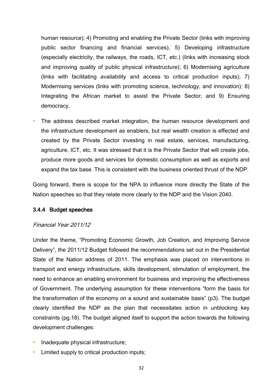human resource); 4) Promoting and enabling the Private Sector (links with improving public sector financing and financial services), 5) Developing infrastructure (especially electricity, the railways, the roads, ICT, etc.) (links with increasing stock and improving quality of public physical infrastructure); 6) Modernising agriculture (links with facilitating availability and access to critical production inputs); 7) Modernising services (links with promoting science, technology, and innovation); 8) Integrating the African market to assist the Private Sector; and 9) Ensuring democracy.

**•** The address described market integration, the human resource development and the infrastructure development as enablers, but real wealth creation is effected and created by the Private Sector investing in real estate, services, manufacturing, agriculture, ICT, etc. It was stressed that it is the Private Sector that will create jobs, produce more goods and services for domestic consumption as well as exports and expand the tax base. This is consistent with the business oriented thrust of the NDP.

Going forward, there is scope for the NPA to influence more directly the State of the Nation speeches so that they relate more clearly to the NDP and the Vision 2040.

## 3.4.4 Budget speeches

#### Financial Year 2011/12

Under the theme, "Promoting Economic Growth, Job Creation, and Improving Service Delivery", the 2011/12 Budget followed the recommendations set out in the Presidential State of the Nation address of 2011. The emphasis was placed on interventions in transport and energy infrastructure, skills development, stimulation of employment, the need to enhance an enabling environment for business and improving the effectiveness of Government. The underlying assumption for these interventions "form the basis for the transformation of the economy on a sound and sustainable basis" (p3). The budget clearly identified the NDP as the plan that necessitates action in unblocking key constraints (pg.18). The budget aligned itself to support the action towards the following development challenges:

- **•** Inadequate physical infrastructure;
- **•** Limited supply to critical production inputs;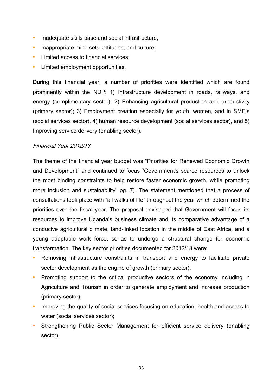- **•** Inadequate skills base and social infrastructure;
- **•** Inappropriate mind sets, attitudes, and culture;
- **•** Limited access to financial services;
- **•** Limited employment opportunities.

During this financial year, a number of priorities were identified which are found prominently within the NDP: 1) Infrastructure development in roads, railways, and energy (complimentary sector); 2) Enhancing agricultural production and productivity (primary sector); 3) Employment creation especially for youth, women, and in SME's (social services sector), 4) human resource development (social services sector), and 5) Improving service delivery (enabling sector).

## Financial Year 2012/13

The theme of the financial year budget was "Priorities for Renewed Economic Growth and Development" and continued to focus "Government's scarce resources to unlock the most binding constraints to help restore faster economic growth, while promoting more inclusion and sustainability" pg. 7). The statement mentioned that a process of consultations took place with "all walks of life" throughout the year which determined the priorities over the fiscal year. The proposal envisaged that Government will focus its resources to improve Uganda's business climate and its comparative advantage of a conducive agricultural climate, land-linked location in the middle of East Africa, and a young adaptable work force, so as to undergo a structural change for economic transformation. The key sector priorities documented for 2012/13 were:

- **•** Removing infrastructure constraints in transport and energy to facilitate private sector development as the engine of growth (primary sector);
- **•** Promoting support to the critical productive sectors of the economy including in Agriculture and Tourism in order to generate employment and increase production (primary sector);
- **•** Improving the quality of social services focusing on education, health and access to water (social services sector);
- **•** Strengthening Public Sector Management for efficient service delivery (enabling sector).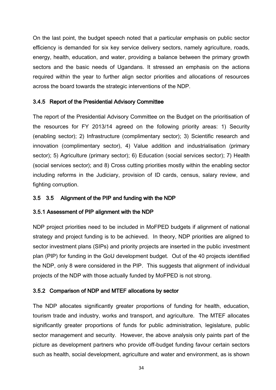On the last point, the budget speech noted that a particular emphasis on public sector efficiency is demanded for six key service delivery sectors, namely agriculture, roads, energy, health, education, and water, providing a balance between the primary growth sectors and the basic needs of Ugandans. It stressed an emphasis on the actions required within the year to further align sector priorities and allocations of resources across the board towards the strategic interventions of the NDP.

## 3.4.5 Report of the Presidential Advisory Committee

The report of the Presidential Advisory Committee on the Budget on the prioritisation of the resources for FY 2013/14 agreed on the following priority areas: 1) Security (enabling sector); 2) Infrastructure (complimentary sector); 3) Scientific research and innovation (complimentary sector), 4) Value addition and industrialisation (primary sector); 5) Agriculture (primary sector); 6) Education (social services sector); 7) Health (social services sector); and 8) Cross cutting priorities mostly within the enabling sector including reforms in the Judiciary, provision of ID cards, census, salary review, and fighting corruption.

## 3.5 3.5 Alignment of the PIP and funding with the NDP

## 3.5.1 Assessment of PIP alignment with the NDP

NDP project priorities need to be included in MoFPED budgets if alignment of national strategy and project funding is to be achieved. In theory, NDP priorities are aligned to sector investment plans (SIPs) and priority projects are inserted in the public investment plan (PIP) for funding in the GoU development budget. Out of the 40 projects identified the NDP, only 8 were considered in the PIP. This suggests that alignment of individual projects of the NDP with those actually funded by MoFPED is not strong.

## 3.5.2 Comparison of NDP and MTEF allocations by sector

The NDP allocates significantly greater proportions of funding for health, education, tourism trade and industry, works and transport, and agriculture. The MTEF allocates significantly greater proportions of funds for public administration, legislature, public sector management and security. However, the above analysis only paints part of the picture as development partners who provide off-budget funding favour certain sectors such as health, social development, agriculture and water and environment, as is shown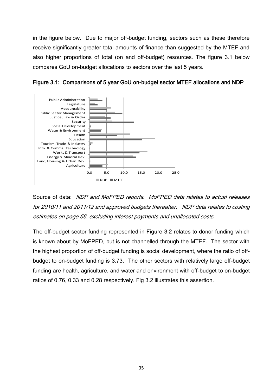in the figure below. Due to major off-budget funding, sectors such as these therefore receive significantly greater total amounts of finance than suggested by the MTEF and also higher proportions of total (on and off-budget) resources. The figure 3.1 below compares GoU on-budget allocations to sectors over the last 5 years.





Source of data: NDP and MoFPED reports. MoFPED data relates to actual releases for 2010/11 and 2011/12 and approved budgets thereafter. NDP data relates to costing estimates on page 56, excluding interest payments and unallocated costs.

The off-budget sector funding represented in Figure 3.2 relates to donor funding which is known about by MoFPED, but is not channelled through the MTEF. The sector with the highest proportion of off-budget funding is social development, where the ratio of offbudget to on-budget funding is 3.73. The other sectors with relatively large off-budget funding are health, agriculture, and water and environment with off-budget to on-budget ratios of 0.76, 0.33 and 0.28 respectively. Fig 3.2 illustrates this assertion.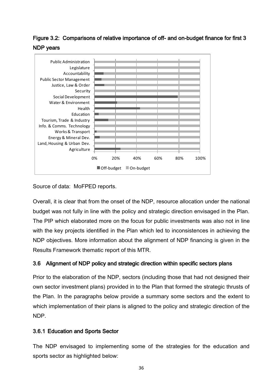## Figure 3.2: Comparisons of relative importance of off- and on-budget finance for first 3 NDP years



Source of data: MoFPED reports.

Overall, it is clear that from the onset of the NDP, resource allocation under the national budget was not fully in line with the policy and strategic direction envisaged in the Plan. The PIP which elaborated more on the focus for public investments was also not in line with the key projects identified in the Plan which led to inconsistences in achieving the NDP objectives. More information about the alignment of NDP financing is given in the Results Framework thematic report of this MTR.

## 3.6 Alignment of NDP policy and strategic direction within specific sectors plans

Prior to the elaboration of the NDP, sectors (including those that had not designed their own sector investment plans) provided in to the Plan that formed the strategic thrusts of the Plan. In the paragraphs below provide a summary some sectors and the extent to which implementation of their plans is aligned to the policy and strategic direction of the NDP.

## 3.6.1 Education and Sports Sector

The NDP envisaged to implementing some of the strategies for the education and sports sector as highlighted below: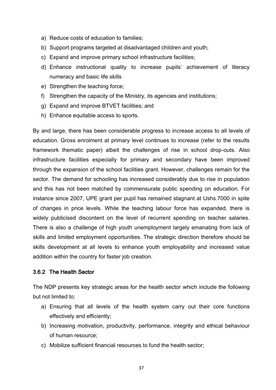- a) Reduce costs of education to families;
- b) Support programs targeted at disadvantaged children and youth;
- c) Expand and improve primary school infrastructure facilities;
- d) Enhance instructional quality to increase pupils' achievement of literacy numeracy and basic life skills
- e) Strengthen the teaching force;
- f) Strengthen the capacity of the Ministry, its agencies and institutions;
- g) Expand and improve BTVET facilities; and
- h) Enhance equitable access to sports.

By and large, there has been considerable progress to increase access to all levels of education. Gross enrolment at primary level continues to increase (refer to the results framework thematic paper) albeit the challenges of rise in school drop-outs. Also infrastructure facilities especially for primary and secondary have been improved through the expansion of the school facilities grant. However, challenges remain for the sector. The demand for schooling has increased considerably due to rise in population and this has not been matched by commensurate public spending on education. For instance since 2007, UPE grant per pupil has remained stagnant at Ushs.7000 in spite of changes in price levels. While the teaching labour force has expanded, there is widely publicised discontent on the level of recurrent spending on teacher salaries. There is also a challenge of high youth unemployment largely emanating from lack of skills and limited employment opportunities. The strategic direction therefore should be skills development at all levels to enhance youth employability and increased value addition within the country for faster job creation.

## 3.6.2 The Health Sector

The NDP presents key strategic areas for the health sector which include the following but not limited to:

- a) Ensuring that all levels of the health system carry out their core functions effectively and efficiently;
- b) Increasing motivation, productivity, performance, integrity and ethical behaviour of human resource;
- c) Mobilize sufficient financial resources to fund the health sector;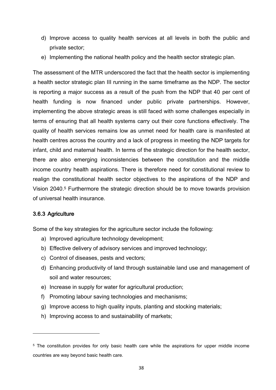- d) Improve access to quality health services at all levels in both the public and private sector;
- e) Implementing the national health policy and the health sector strategic plan.

The assessment of the MTR underscored the fact that the health sector is implementing a health sector strategic plan III running in the same timeframe as the NDP. The sector is reporting a major success as a result of the push from the NDP that 40 per cent of health funding is now financed under public private partnerships. However, implementing the above strategic areas is still faced with some challenges especially in terms of ensuring that all health systems carry out their core functions effectively. The quality of health services remains low as unmet need for health care is manifested at health centres across the country and a lack of progress in meeting the NDP targets for infant, child and maternal health. In terms of the strategic direction for the health sector, there are also emerging inconsistencies between the constitution and the middle income country health aspirations. There is therefore need for constitutional review to realign the constitutional health sector objectives to the aspirations of the NDP and Vision 2040. <sup>5</sup> Furthermore the strategic direction should be to move towards provision of universal health insurance.

## 3.6.3 Agriculture

 $\overline{\phantom{a}}$ 

Some of the key strategies for the agriculture sector include the following:

- a) Improved agriculture technology development;
- b) Effective delivery of advisory services and improved technology;
- c) Control of diseases, pests and vectors;
- d) Enhancing productivity of land through sustainable land use and management of soil and water resources;
- e) Increase in supply for water for agricultural production;
- f) Promoting labour saving technologies and mechanisms;
- g) Improve access to high quality inputs, planting and stocking materials;
- h) Improving access to and sustainability of markets;

<sup>5</sup> The constitution provides for only basic health care while the aspirations for upper middle income countries are way beyond basic health care.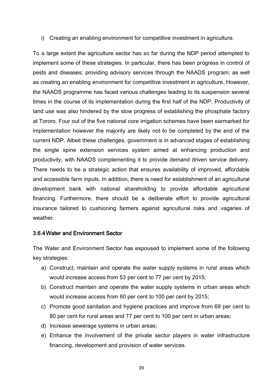i) Creating an enabling environment for competitive investment in agriculture.

To a large extent the agriculture sector has so far during the NDP period attempted to implement some of these strategies. In particular, there has been progress in control of pests and diseases; providing advisory services through the NAADS program; as well as creating an enabling environment for competitive investment in agriculture. However, the NAADS programme has faced various challenges leading to its suspension several times in the course of its implementation during the first half of the NDP. Productivity of land use was also hindered by the slow progress of establishing the phosphate factory at Tororo. Four out of the five national core irrigation schemes have been earmarked for implementation however the majority are likely not to be completed by the end of the current NDP. Albeit these challenges, government is in advanced stages of establishing the single spine extension services system aimed at enhancing production and productivity, with NAADS complementing it to provide demand driven service delivery. There needs to be a strategic action that ensures availability of improved, affordable and accessible farm inputs. In addition, there is need for establishment of an agricultural development bank with national shareholding to provide affordable agricultural financing. Furthermore, there should be a deliberate effort to provide agricultural insurance tailored to cushioning farmers against agricultural risks and vagaries of weather.

#### 3.6.4Water and Environment Sector

The Water and Environment Sector has espoused to implement some of the following key strategies:

- a) Construct, maintain and operate the water supply systems in rural areas which would increase access from 53 per cent to 77 per cent by 2015;
- b) Construct maintain and operate the water supply systems in urban areas which would increase access from 60 per cent to 100 per cent by 2015;
- c) Promote good sanitation and hygiene practices and improve from 69 per cent to 80 per cent for rural areas and 77 per cent to 100 per cent in urban areas;
- d) Increase sewerage systems in urban areas;
- e) Enhance the involvement of the private sector players in water infrastructure financing, development and provision of water services.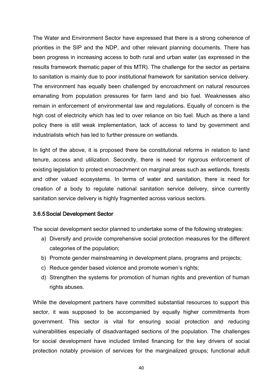The Water and Environment Sector have expressed that there is a strong coherence of priorities in the SIP and the NDP, and other relevant planning documents. There has been progress in increasing access to both rural and urban water (as expressed in the results framework thematic paper of this MTR). The challenge for the sector as pertains to sanitation is mainly due to poor institutional framework for sanitation service delivery. The environment has equally been challenged by encroachment on natural resources emanating from population pressures for farm land and bio fuel. Weaknesses also remain in enforcement of environmental law and regulations. Equally of concern is the high cost of electricity which has led to over reliance on bio fuel. Much as there a land policy there is still weak implementation, lack of access to land by government and industrialists which has led to further pressure on wetlands.

In light of the above, it is proposed there be constitutional reforms in relation to land tenure, access and utilization. Secondly, there is need for rigorous enforcement of existing legislation to protect encroachment on marginal areas such as wetlands, forests and other valued ecosystems. In terms of water and sanitation, there is need for creation of a body to regulate national sanitation service delivery, since currently sanitation service delivery is highly fragmented across various sectors.

#### 3.6.5Social Development Sector

The social development sector planned to undertake some of the following strategies:

- a) Diversify and provide comprehensive social protection measures for the different categories of the population;
- b) Promote gender mainstreaming in development plans, programs and projects;
- c) Reduce gender based violence and promote women's rights;
- d) Strengthen the systems for promotion of human rights and prevention of human rights abuses.

While the development partners have committed substantial resources to support this sector, it was supposed to be accompanied by equally higher commitments from government. This sector is vital for ensuring social protection and reducing vulnerabilities especially of disadvantaged sections of the population. The challenges for social development have included limited financing for the key drivers of social protection notably provision of services for the marginalized groups; functional adult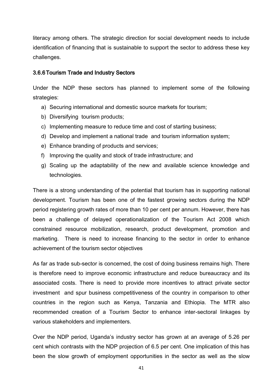literacy among others. The strategic direction for social development needs to include identification of financing that is sustainable to support the sector to address these key challenges.

#### 3.6.6Tourism Trade and Industry Sectors

Under the NDP these sectors has planned to implement some of the following strategies:

- a) Securing international and domestic source markets for tourism;
- b) Diversifying tourism products;
- c) Implementing measure to reduce time and cost of starting business;
- d) Develop and implement a national trade and tourism information system;
- e) Enhance branding of products and services;
- f) Improving the quality and stock of trade infrastructure; and
- g) Scaling up the adaptability of the new and available science knowledge and technologies.

There is a strong understanding of the potential that tourism has in supporting national development. Tourism has been one of the fastest growing sectors during the NDP period registering growth rates of more than 10 per cent per annum. However, there has been a challenge of delayed operationalization of the Tourism Act 2008 which constrained resource mobilization, research, product development, promotion and marketing. There is need to increase financing to the sector in order to enhance achievement of the tourism sector objectives

As far as trade sub-sector is concerned, the cost of doing business remains high. There is therefore need to improve economic infrastructure and reduce bureaucracy and its associated costs. There is need to provide more incentives to attract private sector investment and spur business competitiveness of the country in comparison to other countries in the region such as Kenya, Tanzania and Ethiopia. The MTR also recommended creation of a Tourism Sector to enhance inter-sectoral linkages by various stakeholders and implementers.

Over the NDP period, Uganda's industry sector has grown at an average of 5.26 per cent which contrasts with the NDP projection of 6.5 per cent. One implication of this has been the slow growth of employment opportunities in the sector as well as the slow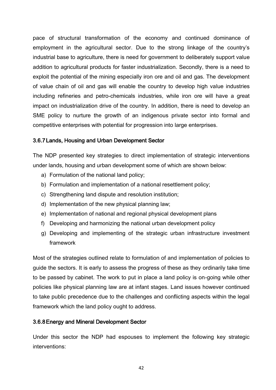pace of structural transformation of the economy and continued dominance of employment in the agricultural sector. Due to the strong linkage of the country's industrial base to agriculture, there is need for government to deliberately support value addition to agricultural products for faster industrialization. Secondly, there is a need to exploit the potential of the mining especially iron ore and oil and gas. The development of value chain of oil and gas will enable the country to develop high value industries including refineries and petro-chemicals industries, while iron ore will have a great impact on industrialization drive of the country. In addition, there is need to develop an SME policy to nurture the growth of an indigenous private sector into formal and competitive enterprises with potential for progression into large enterprises.

## 3.6.7Lands, Housing and Urban Development Sector

The NDP presented key strategies to direct implementation of strategic interventions under lands, housing and urban development some of which are shown below:

- a) Formulation of the national land policy;
- b) Formulation and implementation of a national resettlement policy;
- c) Strengthening land dispute and resolution institution;
- d) Implementation of the new physical planning law;
- e) Implementation of national and regional physical development plans
- f) Developing and harmonizing the national urban development policy
- g) Developing and implementing of the strategic urban infrastructure investment framework

Most of the strategies outlined relate to formulation of and implementation of policies to guide the sectors. It is early to assess the progress of these as they ordinarily take time to be passed by cabinet. The work to put in place a land policy is on-going while other policies like physical planning law are at infant stages. Land issues however continued to take public precedence due to the challenges and conflicting aspects within the legal framework which the land policy ought to address.

#### 3.6.8Energy and Mineral Development Sector

Under this sector the NDP had espouses to implement the following key strategic interventions: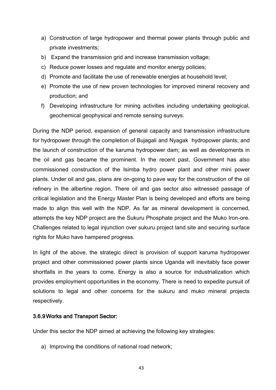- a) Construction of large hydropower and thermal power plants through public and private investments;
- b) Expand the transmission grid and increase transmission voltage;
- c) Reduce power losses and regulate and monitor energy policies;
- d) Promote and facilitate the use of renewable energies at household level;
- e) Promote the use of new proven technologies for improved mineral recovery and production; and
- f) Developing infrastructure for mining activities including undertaking geological, geochemical geophysical and remote sensing surveys.

During the NDP period, expansion of general capacity and transmission infrastructure for hydropower through the completion of Bujagali and Nyagak hydropower plants; and the launch of construction of the karuma hydropower dam; as well as developments in the oil and gas became the prominent. In the recent past, Government has also commissioned construction of the Isimba hydro power plant and other mini power plants. Under oil and gas, plans are on-going to pave way for the construction of the oil refinery in the albertine region. There oil and gas sector also witnessed passage of critical legislation and the Energy Master Plan is being developed and efforts are being made to align this well with the NDP. As far as mineral development is concerned, attempts the key NDP project are the Sukuru Phosphate project and the Muko Iron-ore. Challenges related to legal injunction over sukuru project land site and securing surface rights for Muko have hampered progress.

In light of the above, the strategic direct is provision of support karuma hydropower project and other commissioned power plants since Uganda will inevitably face power shortfalls in the years to come. Energy is also a source for industrialization which provides employment opportunities in the economy. There is need to expedite pursuit of solutions to legal and other concerns for the sukuru and muko mineral projects respectively.

## 3.6.9Works and Transport Sector:

Under this sector the NDP aimed at achieving the following key strategies:

a) Improving the conditions of national road network;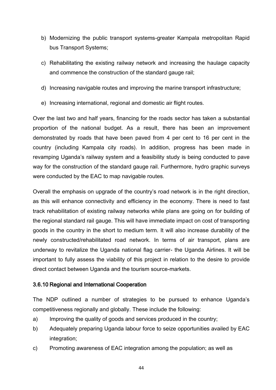- b) Modernizing the public transport systems-greater Kampala metropolitan Rapid bus Transport Systems;
- c) Rehabilitating the existing railway network and increasing the haulage capacity and commence the construction of the standard gauge rail;
- d) Increasing navigable routes and improving the marine transport infrastructure;
- e) Increasing international, regional and domestic air flight routes.

Over the last two and half years, financing for the roads sector has taken a substantial proportion of the national budget. As a result, there has been an improvement demonstrated by roads that have been paved from 4 per cent to 16 per cent in the country (including Kampala city roads). In addition, progress has been made in revamping Uganda's railway system and a feasibility study is being conducted to pave way for the construction of the standard gauge rail. Furthermore, hydro graphic surveys were conducted by the EAC to map navigable routes.

Overall the emphasis on upgrade of the country's road network is in the right direction, as this will enhance connectivity and efficiency in the economy. There is need to fast track rehabilitation of existing railway networks while plans are going on for building of the regional standard rail gauge. This will have immediate impact on cost of transporting goods in the country in the short to medium term. It will also increase durability of the newly constructed/rehabilitated road network. In terms of air transport, plans are underway to revitalize the Uganda national flag carrier- the Uganda Airlines. It will be important to fully assess the viability of this project in relation to the desire to provide direct contact between Uganda and the tourism source-markets.

#### 3.6.10 Regional and International Cooperation

The NDP outlined a number of strategies to be pursued to enhance Uganda's competitiveness regionally and globally. These include the following:

- a) Improving the quality of goods and services produced in the country;
- b) Adequately preparing Uganda labour force to seize opportunities availed by EAC integration;
- c) Promoting awareness of EAC integration among the population; as well as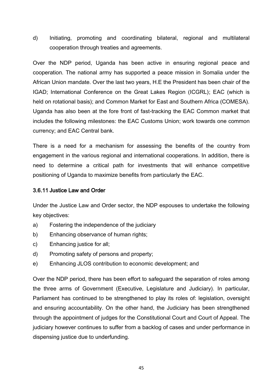d) Initiating, promoting and coordinating bilateral, regional and multilateral cooperation through treaties and agreements.

Over the NDP period, Uganda has been active in ensuring regional peace and cooperation. The national army has supported a peace mission in Somalia under the African Union mandate. Over the last two years, H.E the President has been chair of the IGAD; International Conference on the Great Lakes Region (ICGRL); EAC (which is held on rotational basis); and Common Market for East and Southern Africa (COMESA). Uganda has also been at the fore front of fast-tracking the EAC Common market that includes the following milestones: the EAC Customs Union; work towards one common currency; and EAC Central bank.

There is a need for a mechanism for assessing the benefits of the country from engagement in the various regional and international cooperations. In addition, there is need to determine a critical path for investments that will enhance competitive positioning of Uganda to maximize benefits from particularly the EAC.

## 3.6.11 Justice Law and Order

Under the Justice Law and Order sector, the NDP espouses to undertake the following key objectives:

- a) Fostering the independence of the judiciary
- b) Enhancing observance of human rights;
- c) Enhancing justice for all;
- d) Promoting safety of persons and property;
- e) Enhancing JLOS contribution to economic development; and

Over the NDP period, there has been effort to safeguard the separation of roles among the three arms of Government (Executive, Legislature and Judiciary). In particular, Parliament has continued to be strengthened to play its roles of: legislation, oversight and ensuring accountability. On the other hand, the Judiciary has been strengthened through the appointment of judges for the Constitutional Court and Court of Appeal. The judiciary however continues to suffer from a backlog of cases and under performance in dispensing justice due to underfunding.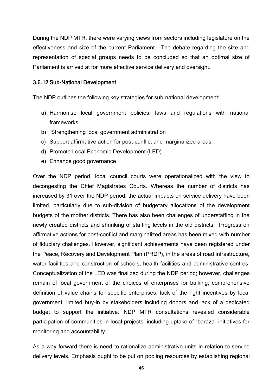During the NDP MTR, there were varying views from sectors including legislature on the effectiveness and size of the current Parliament. The debate regarding the size and representation of special groups needs to be concluded so that an optimal size of Parliament is arrived at for more effective service delivery and oversight.

#### 3.6.12 Sub-National Development

The NDP outlines the following key strategies for sub-national development:

- a) Harmonise local government policies, laws and regulations with national frameworks.
- b) Strengthening local government administration
- c) Support affirmative action for post-conflict and marginalized areas
- d) Promote Local Economic Development (LED)
- e) Enhance good governance

Over the NDP period, local council courts were operationalized with the view to decongesting the Chief Magistrates Courts. Whereas the number of districts has increased by 31 over the NDP period, the actual impacts on service delivery have been limited, particularly due to sub-division of budgetary allocations of the development budgets of the mother districts. There has also been challenges of understaffing in the newly created districts and shrinking of staffing levels in the old districts. Progress on affirmative actions for post-conflict and marginalized areas has been mixed with number of fiduciary challenges. However, significant achievements have been registered under the Peace, Recovery and Development Plan (PRDP), in the areas of road infrastructure, water facilities and construction of schools, health facilities and administrative centres. Conceptualization of the LED was finalized during the NDP period; however, challenges remain of local government of the choices of enterprises for bulking, comprehensive definition of value chains for specific enterprises, lack of the right incentives by local government, limited buy-in by stakeholders including donors and lack of a dedicated budget to support the initiative. NDP MTR consultations revealed considerable participation of communities in local projects, including uptake of "baraza" initiatives for monitoring and accountability.

As a way forward there is need to rationalize administrative units in relation to service delivery levels. Emphasis ought to be put on pooling resources by establishing regional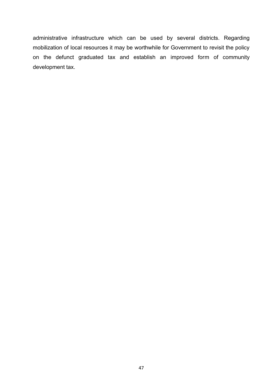administrative infrastructure which can be used by several districts. Regarding mobilization of local resources it may be worthwhile for Government to revisit the policy on the defunct graduated tax and establish an improved form of community development tax.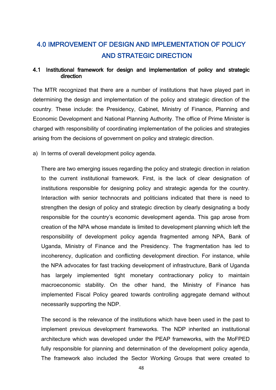# 4.0 IMPROVEMENT OF DESIGN AND IMPLEMENTATION OF POLICY AND STRATEGIC DIRECTION

## 4.1 Institutional framework for design and implementation of policy and strategic direction

The MTR recognized that there are a number of institutions that have played part in determining the design and implementation of the policy and strategic direction of the country. These include: the Presidency, Cabinet, Ministry of Finance, Planning and Economic Development and National Planning Authority. The office of Prime Minister is charged with responsibility of coordinating implementation of the policies and strategies arising from the decisions of government on policy and strategic direction.

a) In terms of overall development policy agenda.

There are two emerging issues regarding the policy and strategic direction in relation to the current institutional framework. First, is the lack of clear designation of institutions responsible for designing policy and strategic agenda for the country. Interaction with senior technocrats and politicians indicated that there is need to strengthen the design of policy and strategic direction by clearly designating a body responsible for the country's economic development agenda. This gap arose from creation of the NPA whose mandate is limited to development planning which left the responsibility of development policy agenda fragmented among NPA, Bank of Uganda, Ministry of Finance and the Presidency. The fragmentation has led to incoherency, duplication and conflicting development direction. For instance, while the NPA advocates for fast tracking development of infrastructure, Bank of Uganda has largely implemented tight monetary contractionary policy to maintain macroeconomic stability. On the other hand, the Ministry of Finance has implemented Fiscal Policy geared towards controlling aggregate demand without necessarily supporting the NDP.

The second is the relevance of the institutions which have been used in the past to implement previous development frameworks. The NDP inherited an institutional architecture which was developed under the PEAP frameworks, with the MoFPED fully responsible for planning and determination of the development policy agenda. The framework also included the Sector Working Groups that were created to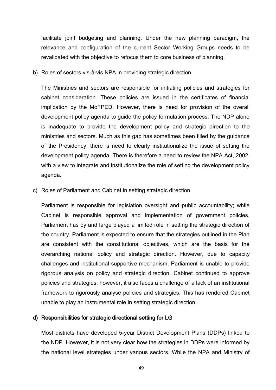facilitate joint budgeting and planning. Under the new planning paradigm, the relevance and configuration of the current Sector Working Groups needs to be revalidated with the objective to refocus them to core business of planning.

b) Roles of sectors vis-à-vis NPA in providing strategic direction

The Ministries and sectors are responsible for initiating policies and strategies for cabinet consideration. These policies are issued in the certificates of financial implication by the MoFPED. However, there is need for provision of the overall development policy agenda to guide the policy formulation process. The NDP alone is inadequate to provide the development policy and strategic direction to the ministries and sectors. Much as this gap has sometimes been filled by the guidance of the Presidency, there is need to clearly institutionalize the issue of setting the development policy agenda. There is therefore a need to review the NPA Act, 2002, with a view to integrate and institutionalize the role of setting the development policy agenda.

c) Roles of Parliament and Cabinet in setting strategic direction

Parliament is responsible for legislation oversight and public accountability; while Cabinet is responsible approval and implementation of government policies. Parliament has by and large played a limited role in setting the strategic direction of the country. Parliament is expected to ensure that the strategies outlined in the Plan are consistent with the constitutional objectives, which are the basis for the overarching national policy and strategic direction. However, due to capacity challenges and institutional supportive mechanism, Parliament is unable to provide rigorous analysis on policy and strategic direction. Cabinet continued to approve policies and strategies, however, it also faces a challenge of a lack of an institutional framework to rigorously analyse policies and strategies. This has rendered Cabinet unable to play an instrumental role in setting strategic direction.

#### d) Responsibilities for strategic directional setting for LG

Most districts have developed 5-year District Development Plans (DDPs) linked to the NDP. However, it is not very clear how the strategies in DDPs were informed by the national level strategies under various sectors. While the NPA and Ministry of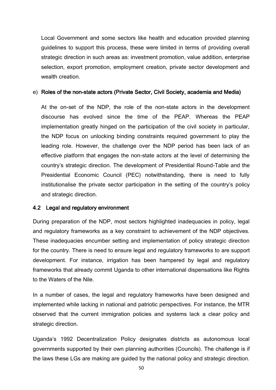Local Government and some sectors like health and education provided planning guidelines to support this process, these were limited in terms of providing overall strategic direction in such areas as: investment promotion, value addition, enterprise selection, export promotion, employment creation, private sector development and wealth creation.

#### e) Roles of the non-state actors (Private Sector, Civil Society, academia and Media)

At the on-set of the NDP, the role of the non-state actors in the development discourse has evolved since the time of the PEAP. Whereas the PEAP implementation greatly hinged on the participation of the civil society in particular, the NDP focus on unlocking binding constraints required government to play the leading role. However, the challenge over the NDP period has been lack of an effective platform that engages the non-state actors at the level of determining the country's strategic direction. The development of Presidential Round-Table and the Presidential Economic Council (PEC) notwithstanding, there is need to fully institutionalise the private sector participation in the setting of the country's policy and strategic direction.

#### 4.2 Legal and regulatory environment

During preparation of the NDP, most sectors highlighted inadequacies in policy, legal and regulatory frameworks as a key constraint to achievement of the NDP objectives. These inadequacies encumber setting and implementation of policy strategic direction for the country. There is need to ensure legal and regulatory frameworks to are support development. For instance, irrigation has been hampered by legal and regulatory frameworks that already commit Uganda to other international dispensations like Rights to the Waters of the Nile.

In a number of cases, the legal and regulatory frameworks have been designed and implemented while lacking in national and patriotic perspectives. For instance, the MTR observed that the current immigration policies and systems lack a clear policy and strategic direction.

Uganda's 1992 Decentralization Policy designates districts as autonomous local governments supported by their own planning authorities (Councils). The challenge is if the laws these LGs are making are guided by the national policy and strategic direction.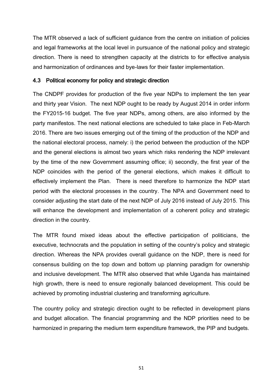The MTR observed a lack of sufficient guidance from the centre on initiation of policies and legal frameworks at the local level in pursuance of the national policy and strategic direction. There is need to strengthen capacity at the districts to for effective analysis and harmonization of ordinances and bye-laws for their faster implementation.

## 4.3 Political economy for policy and strategic direction

The CNDPF provides for production of the five year NDPs to implement the ten year and thirty year Vision. The next NDP ought to be ready by August 2014 in order inform the FY2015-16 budget. The five year NDPs, among others, are also informed by the party manifestos. The next national elections are scheduled to take place in Feb-March 2016. There are two issues emerging out of the timing of the production of the NDP and the national electoral process, namely: i) the period between the production of the NDP and the general elections is almost two years which risks rendering the NDP irrelevant by the time of the new Government assuming office; ii) secondly, the first year of the NDP coincides with the period of the general elections, which makes it difficult to effectively implement the Plan. There is need therefore to harmonize the NDP start period with the electoral processes in the country. The NPA and Government need to consider adjusting the start date of the next NDP of July 2016 instead of July 2015. This will enhance the development and implementation of a coherent policy and strategic direction in the country.

The MTR found mixed ideas about the effective participation of politicians, the executive, technocrats and the population in setting of the country's policy and strategic direction. Whereas the NPA provides overall guidance on the NDP, there is need for consensus building on the top down and bottom up planning paradigm for ownership and inclusive development. The MTR also observed that while Uganda has maintained high growth, there is need to ensure regionally balanced development. This could be achieved by promoting industrial clustering and transforming agriculture.

The country policy and strategic direction ought to be reflected in development plans and budget allocation. The financial programming and the NDP priorities need to be harmonized in preparing the medium term expenditure framework, the PIP and budgets.

51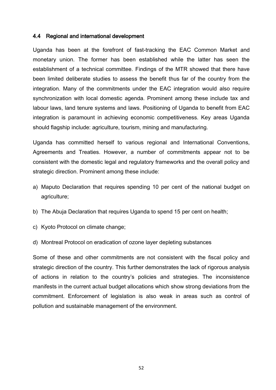#### 4.4 Regional and international development

Uganda has been at the forefront of fast-tracking the EAC Common Market and monetary union. The former has been established while the latter has seen the establishment of a technical committee. Findings of the MTR showed that there have been limited deliberate studies to assess the benefit thus far of the country from the integration. Many of the commitments under the EAC integration would also require synchronization with local domestic agenda. Prominent among these include tax and labour laws, land tenure systems and laws. Positioning of Uganda to benefit from EAC integration is paramount in achieving economic competitiveness. Key areas Uganda should flagship include: agriculture, tourism, mining and manufacturing.

Uganda has committed herself to various regional and International Conventions, Agreements and Treaties. However, a number of commitments appear not to be consistent with the domestic legal and regulatory frameworks and the overall policy and strategic direction. Prominent among these include:

- a) Maputo Declaration that requires spending 10 per cent of the national budget on agriculture;
- b) The Abuja Declaration that requires Uganda to spend 15 per cent on health;
- c) Kyoto Protocol on climate change;
- d) Montreal Protocol on eradication of ozone layer depleting substances

Some of these and other commitments are not consistent with the fiscal policy and strategic direction of the country. This further demonstrates the lack of rigorous analysis of actions in relation to the country's policies and strategies. The inconsistence manifests in the current actual budget allocations which show strong deviations from the commitment. Enforcement of legislation is also weak in areas such as control of pollution and sustainable management of the environment.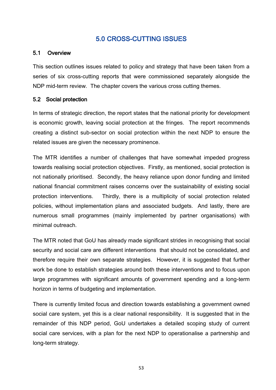## 5.0 CROSS-CUTTING ISSUES

## 5.1 Overview

This section outlines issues related to policy and strategy that have been taken from a series of six cross-cutting reports that were commissioned separately alongside the NDP mid-term review. The chapter covers the various cross cutting themes.

## 5.2 Social protection

In terms of strategic direction, the report states that the national priority for development is economic growth, leaving social protection at the fringes. The report recommends creating a distinct sub-sector on social protection within the next NDP to ensure the related issues are given the necessary prominence.

The MTR identifies a number of challenges that have somewhat impeded progress towards realising social protection objectives. Firstly, as mentioned, social protection is not nationally prioritised. Secondly, the heavy reliance upon donor funding and limited national financial commitment raises concerns over the sustainability of existing social protection interventions. Thirdly, there is a multiplicity of social protection related policies, without implementation plans and associated budgets. And lastly, there are numerous small programmes (mainly implemented by partner organisations) with minimal outreach.

The MTR noted that GoU has already made significant strides in recognising that social security and social care are different interventions that should not be consolidated, and therefore require their own separate strategies. However, it is suggested that further work be done to establish strategies around both these interventions and to focus upon large programmes with significant amounts of government spending and a long-term horizon in terms of budgeting and implementation.

There is currently limited focus and direction towards establishing a government owned social care system, yet this is a clear national responsibility. It is suggested that in the remainder of this NDP period, GoU undertakes a detailed scoping study of current social care services, with a plan for the next NDP to operationalise a partnership and long-term strategy.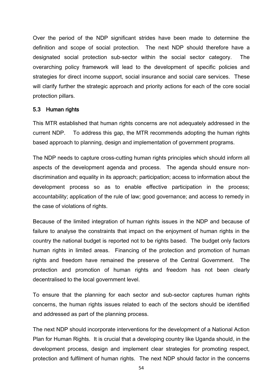Over the period of the NDP significant strides have been made to determine the definition and scope of social protection. The next NDP should therefore have a designated social protection sub-sector within the social sector category. The overarching policy framework will lead to the development of specific policies and strategies for direct income support, social insurance and social care services. These will clarify further the strategic approach and priority actions for each of the core social protection pillars.

#### 5.3 Human rights

This MTR established that human rights concerns are not adequately addressed in the current NDP. To address this gap, the MTR recommends adopting the human rights based approach to planning, design and implementation of government programs.

The NDP needs to capture cross-cutting human rights principles which should inform all aspects of the development agenda and process. The agenda should ensure nondiscrimination and equality in its approach; participation; access to information about the development process so as to enable effective participation in the process; accountability; application of the rule of law; good governance; and access to remedy in the case of violations of rights.

Because of the limited integration of human rights issues in the NDP and because of failure to analyse the constraints that impact on the enjoyment of human rights in the country the national budget is reported not to be rights based. The budget only factors human rights in limited areas. Financing of the protection and promotion of human rights and freedom have remained the preserve of the Central Government. The protection and promotion of human rights and freedom has not been clearly decentralised to the local government level.

To ensure that the planning for each sector and sub-sector captures human rights concerns, the human rights issues related to each of the sectors should be identified and addressed as part of the planning process.

The next NDP should incorporate interventions for the development of a National Action Plan for Human Rights. It is crucial that a developing country like Uganda should, in the development process, design and implement clear strategies for promoting respect, protection and fulfilment of human rights. The next NDP should factor in the concerns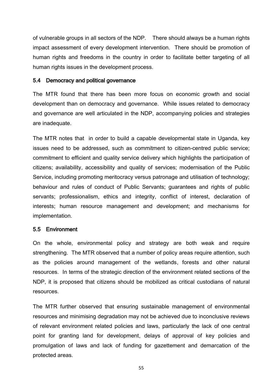of vulnerable groups in all sectors of the NDP. There should always be a human rights impact assessment of every development intervention. There should be promotion of human rights and freedoms in the country in order to facilitate better targeting of all human rights issues in the development process.

#### 5.4 Democracy and political governance

The MTR found that there has been more focus on economic growth and social development than on democracy and governance. While issues related to democracy and governance are well articulated in the NDP, accompanying policies and strategies are inadequate.

The MTR notes that in order to build a capable developmental state in Uganda, key issues need to be addressed, such as commitment to citizen-centred public service; commitment to efficient and quality service delivery which highlights the participation of citizens; availability, accessibility and quality of services; modernisation of the Public Service, including promoting meritocracy versus patronage and utilisation of technology; behaviour and rules of conduct of Public Servants; guarantees and rights of public servants; professionalism, ethics and integrity, conflict of interest, declaration of interests; human resource management and development; and mechanisms for implementation.

#### 5.5 Environment

On the whole, environmental policy and strategy are both weak and require strengthening. The MTR observed that a number of policy areas require attention, such as the policies around management of the wetlands, forests and other natural resources. In terms of the strategic direction of the environment related sections of the NDP, it is proposed that citizens should be mobilized as critical custodians of natural resources.

The MTR further observed that ensuring sustainable management of environmental resources and minimising degradation may not be achieved due to inconclusive reviews of relevant environment related policies and laws, particularly the lack of one central point for granting land for development, delays of approval of key policies and promulgation of laws and lack of funding for gazettement and demarcation of the protected areas.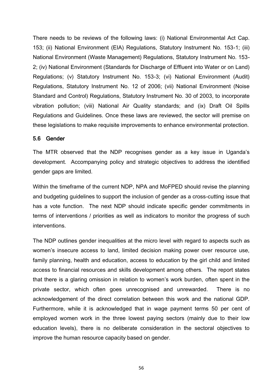There needs to be reviews of the following laws: (i) National Environmental Act Cap. 153; (ii) National Environment (EIA) Regulations, Statutory Instrument No. 153-1; (iii) National Environment (Waste Management) Regulations, Statutory Instrument No. 153- 2; (iv) National Environment (Standards for Discharge of Effluent into Water or on Land) Regulations; (v) Statutory Instrument No. 153-3; (vi) National Environment (Audit) Regulations, Statutory Instrument No. 12 of 2006; (vii) National Environment (Noise Standard and Control) Regulations, Statutory Instrument No. 30 of 2003, to incorporate vibration pollution; (viii) National Air Quality standards; and (ix) Draft Oil Spills Regulations and Guidelines. Once these laws are reviewed, the sector will premise on these legislations to make requisite improvements to enhance environmental protection.

#### 5.6 Gender

The MTR observed that the NDP recognises gender as a key issue in Uganda's development. Accompanying policy and strategic objectives to address the identified gender gaps are limited.

Within the timeframe of the current NDP, NPA and MoFPED should revise the planning and budgeting guidelines to support the inclusion of gender as a cross-cutting issue that has a vote function. The next NDP should indicate specific gender commitments in terms of interventions / priorities as well as indicators to monitor the progress of such interventions.

The NDP outlines gender inequalities at the micro level with regard to aspects such as women's insecure access to land, limited decision making power over resource use, family planning, health and education, access to education by the girl child and limited access to financial resources and skills development among others. The report states that there is a glaring omission in relation to women's work burden, often spent in the private sector, which often goes unrecognised and unrewarded. There is no acknowledgement of the direct correlation between this work and the national GDP. Furthermore, while it is acknowledged that in wage payment terms 50 per cent of employed women work in the three lowest paying sectors (mainly due to their low education levels), there is no deliberate consideration in the sectoral objectives to improve the human resource capacity based on gender.

56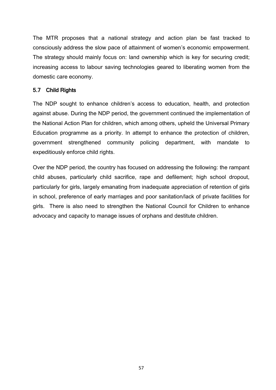The MTR proposes that a national strategy and action plan be fast tracked to consciously address the slow pace of attainment of women's economic empowerment. The strategy should mainly focus on: land ownership which is key for securing credit; increasing access to labour saving technologies geared to liberating women from the domestic care economy.

## 5.7 Child Rights

The NDP sought to enhance children's access to education, health, and protection against abuse. During the NDP period, the government continued the implementation of the National Action Plan for children, which among others, upheld the Universal Primary Education programme as a priority. In attempt to enhance the protection of children, government strengthened community policing department, with mandate to expeditiously enforce child rights.

Over the NDP period, the country has focused on addressing the following: the rampant child abuses, particularly child sacrifice, rape and defilement; high school dropout, particularly for girls, largely emanating from inadequate appreciation of retention of girls in school, preference of early marriages and poor sanitation/lack of private facilities for girls. There is also need to strengthen the National Council for Children to enhance advocacy and capacity to manage issues of orphans and destitute children.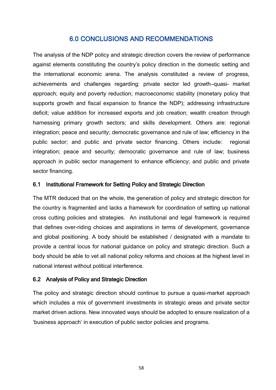## 6.0 CONCLUSIONS AND RECOMMENDATIONS

The analysis of the NDP policy and strategic direction covers the review of performance against elements constituting the country's policy direction in the domestic setting and the international economic arena. The analysis constituted a review of progress, achievements and challenges regarding: private sector led growth–quasi- market approach; equity and poverty reduction; macroeconomic stability (monetary policy that supports growth and fiscal expansion to finance the NDP); addressing infrastructure deficit; value addition for increased exports and job creation; wealth creation through harnessing primary growth sectors; and skills development. Others are: regional integration; peace and security; democratic governance and rule of law; efficiency in the public sector; and public and private sector financing. Others include: regional integration; peace and security; democratic governance and rule of law; business approach in public sector management to enhance efficiency; and public and private sector financing.

## 6.1 Institutional Framework for Setting Policy and Strategic Direction

The MTR deduced that on the whole, the generation of policy and strategic direction for the country is fragmented and lacks a framework for coordination of setting up national cross cutting policies and strategies. An institutional and legal framework is required that defines over-riding choices and aspirations in terms of development, governance and global positioning. A body should be established / designated with a mandate to provide a central locus for national guidance on policy and strategic direction. Such a body should be able to vet all national policy reforms and choices at the highest level in national interest without political interference.

## 6.2 Analysis of Policy and Strategic Direction

The policy and strategic direction should continue to pursue a quasi-market approach which includes a mix of government investments in strategic areas and private sector market driven actions. New innovated ways should be adopted to ensure realization of a 'business approach' in execution of public sector policies and programs.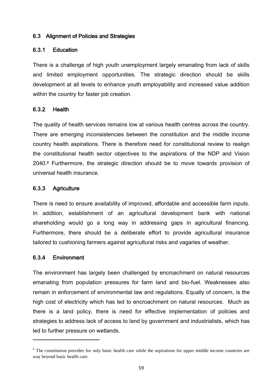## 6.3 Alignment of Policies and Strategies

## 6.3.1 Education

There is a challenge of high youth unemployment largely emanating from lack of skills and limited employment opportunities. The strategic direction should be skills development at all levels to enhance youth employability and increased value addition within the country for faster job creation.

## 6.3.2 Health

The quality of health services remains low at various health centres across the country. There are emerging inconsistencies between the constitution and the middle income country health aspirations. There is therefore need for constitutional review to realign the constitutional health sector objectives to the aspirations of the NDP and Vision 2040.<sup>6</sup> Furthermore, the strategic direction should be to move towards provision of universal health insurance.

## 6.3.3 Agriculture

There is need to ensure availability of improved, affordable and accessible farm inputs. In addition, establishment of an agricultural development bank with national shareholding would go a long way in addressing gaps in agricultural financing. Furthermore, there should be a deliberate effort to provide agricultural insurance tailored to cushioning farmers against agricultural risks and vagaries of weather.

#### 6.3.4 Environment

 $\overline{a}$ 

The environment has largely been challenged by encroachment on natural resources emanating from population pressures for farm land and bio-fuel. Weaknesses also remain in enforcement of environmental law and regulations. Equally of concern, is the high cost of electricity which has led to encroachment on natural resources. Much as there is a land policy, there is need for effective implementation of policies and strategies to address lack of access to land by government and industrialists, which has led to further pressure on wetlands.

<sup>&</sup>lt;sup>6</sup> The constitution provides for only basic health care while the aspirations for upper middle income countries are way beyond basic health care.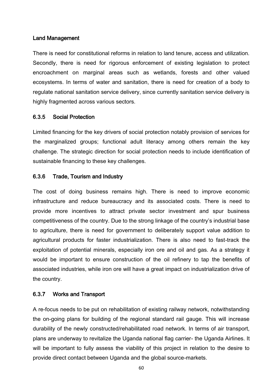#### Land Management

There is need for constitutional reforms in relation to land tenure, access and utilization. Secondly, there is need for rigorous enforcement of existing legislation to protect encroachment on marginal areas such as wetlands, forests and other valued ecosystems. In terms of water and sanitation, there is need for creation of a body to regulate national sanitation service delivery, since currently sanitation service delivery is highly fragmented across various sectors.

#### 6.3.5 Social Protection

Limited financing for the key drivers of social protection notably provision of services for the marginalized groups; functional adult literacy among others remain the key challenge. The strategic direction for social protection needs to include identification of sustainable financing to these key challenges.

#### 6.3.6 Trade, Tourism and Industry

The cost of doing business remains high. There is need to improve economic infrastructure and reduce bureaucracy and its associated costs. There is need to provide more incentives to attract private sector investment and spur business competitiveness of the country. Due to the strong linkage of the country's industrial base to agriculture, there is need for government to deliberately support value addition to agricultural products for faster industrialization. There is also need to fast-track the exploitation of potential minerals, especially iron ore and oil and gas. As a strategy it would be important to ensure construction of the oil refinery to tap the benefits of associated industries, while iron ore will have a great impact on industrialization drive of the country.

#### 6.3.7 Works and Transport

A re-focus needs to be put on rehabilitation of existing railway network, notwithstanding the on-going plans for building of the regional standard rail gauge. This will increase durability of the newly constructed/rehabilitated road network. In terms of air transport, plans are underway to revitalize the Uganda national flag carrier- the Uganda Airlines. It will be important to fully assess the viability of this project in relation to the desire to provide direct contact between Uganda and the global source-markets.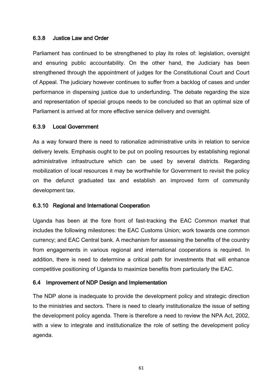## 6.3.8 Justice Law and Order

Parliament has continued to be strengthened to play its roles of: legislation, oversight and ensuring public accountability. On the other hand, the Judiciary has been strengthened through the appointment of judges for the Constitutional Court and Court of Appeal. The judiciary however continues to suffer from a backlog of cases and under performance in dispensing justice due to underfunding. The debate regarding the size and representation of special groups needs to be concluded so that an optimal size of Parliament is arrived at for more effective service delivery and oversight.

## 6.3.9 Local Government

As a way forward there is need to rationalize administrative units in relation to service delivery levels. Emphasis ought to be put on pooling resources by establishing regional administrative infrastructure which can be used by several districts. Regarding mobilization of local resources it may be worthwhile for Government to revisit the policy on the defunct graduated tax and establish an improved form of community development tax.

#### 6.3.10 Regional and International Cooperation

Uganda has been at the fore front of fast-tracking the EAC Common market that includes the following milestones: the EAC Customs Union; work towards one common currency; and EAC Central bank. A mechanism for assessing the benefits of the country from engagements in various regional and international cooperations is required. In addition, there is need to determine a critical path for investments that will enhance competitive positioning of Uganda to maximize benefits from particularly the EAC.

#### 6.4 Improvement of NDP Design and Implementation

The NDP alone is inadequate to provide the development policy and strategic direction to the ministries and sectors. There is need to clearly institutionalize the issue of setting the development policy agenda. There is therefore a need to review the NPA Act, 2002, with a view to integrate and institutionalize the role of setting the development policy agenda.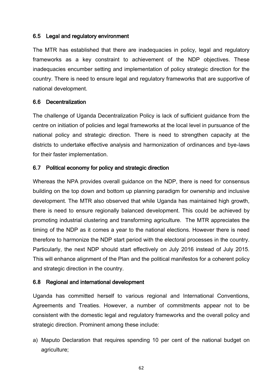## 6.5 Legal and regulatory environment

The MTR has established that there are inadequacies in policy, legal and regulatory frameworks as a key constraint to achievement of the NDP objectives. These inadequacies encumber setting and implementation of policy strategic direction for the country. There is need to ensure legal and regulatory frameworks that are supportive of national development.

## 6.6 Decentralization

The challenge of Uganda Decentralization Policy is lack of sufficient guidance from the centre on initiation of policies and legal frameworks at the local level in pursuance of the national policy and strategic direction. There is need to strengthen capacity at the districts to undertake effective analysis and harmonization of ordinances and bye-laws for their faster implementation.

## 6.7 Political economy for policy and strategic direction

Whereas the NPA provides overall guidance on the NDP, there is need for consensus building on the top down and bottom up planning paradigm for ownership and inclusive development. The MTR also observed that while Uganda has maintained high growth, there is need to ensure regionally balanced development. This could be achieved by promoting industrial clustering and transforming agriculture. The MTR appreciates the timing of the NDP as it comes a year to the national elections. However there is need therefore to harmonize the NDP start period with the electoral processes in the country. Particularly, the next NDP should start effectively on July 2016 instead of July 2015. This will enhance alignment of the Plan and the political manifestos for a coherent policy and strategic direction in the country.

## 6.8 Regional and international development

Uganda has committed herself to various regional and International Conventions, Agreements and Treaties. However, a number of commitments appear not to be consistent with the domestic legal and regulatory frameworks and the overall policy and strategic direction. Prominent among these include:

a) Maputo Declaration that requires spending 10 per cent of the national budget on agriculture;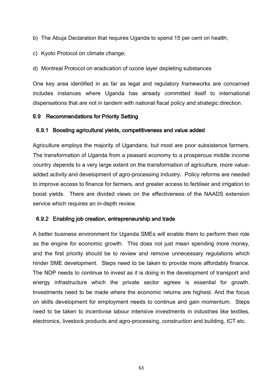- b) The Abuja Declaration that requires Uganda to spend 15 per cent on health;
- c) Kyoto Protocol on climate change;

d) Montreal Protocol on eradication of ozone layer depleting substances

One key area identified in as far as legal and regulatory frameworks are concerned includes instances where Uganda has already committed itself to international dispensations that are not in tandem with national fiscal policy and strategic direction.

## 6.9 Recommendations for Priority Setting

## 6.9.1 Boosting agricultural yields, competitiveness and value added

Agriculture employs the majority of Ugandans, but most are poor subsistence farmers. The transformation of Uganda from a peasant economy to a prosperous middle income country depends to a very large extent on the transformation of agriculture, more valueadded activity and development of agro-processing industry. Policy reforms are needed to improve access to finance for farmers, and greater access to fertiliser and irrigation to boost yields. There are divided views on the effectiveness of the NAADS extension service which requires an in-depth review.

## 6.9.2 Enabling job creation, entrepreneurship and trade

A better business environment for Uganda SMEs will enable them to perform their role as the engine for economic growth. This does not just mean spending more money, and the first priority should be to review and remove unnecessary regulations which hinder SME development. Steps need to be taken to provide more affordably finance. The NDP needs to continue to invest as it is doing in the development of transport and energy infrastructure which the private sector agrees is essential for growth. Investments need to be made where the economic returns are highest. And the focus on skills development for employment needs to continue and gain momentum. Steps need to be taken to incentivise labour intensive investments in industries like textiles, electronics, livestock products and agro-processing, construction and building, ICT etc.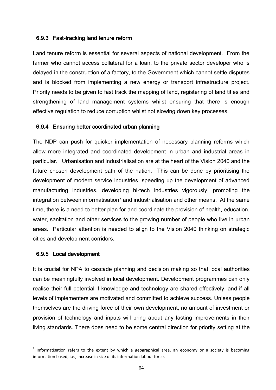## 6.9.3 Fast-tracking land tenure reform

Land tenure reform is essential for several aspects of national development. From the farmer who cannot access collateral for a loan, to the private sector developer who is delayed in the construction of a factory, to the Government which cannot settle disputes and is blocked from implementing a new energy or transport infrastructure project. Priority needs to be given to fast track the mapping of land, registering of land titles and strengthening of land management systems whilst ensuring that there is enough effective regulation to reduce corruption whilst not slowing down key processes.

## 6.9.4 Ensuring better coordinated urban planning

The NDP can push for quicker implementation of necessary planning reforms which allow more integrated and coordinated development in urban and industrial areas in particular. Urbanisation and industrialisation are at the heart of the Vision 2040 and the future chosen development path of the nation. This can be done by prioritising the development of modern service industries, speeding up the development of advanced manufacturing industries, developing hi-tech industries vigorously, promoting the integration between informatisation<sup>7</sup> and industrialisation and other means. At the same time, there is a need to better plan for and coordinate the provision of health, education, water, sanitation and other services to the growing number of people who live in urban areas. Particular attention is needed to align to the Vision 2040 thinking on strategic cities and development corridors.

## 6.9.5 Local development

 $\overline{\phantom{a}}$ 

It is crucial for NPA to cascade planning and decision making so that local authorities can be meaningfully involved in local development. Development programmes can only realise their full potential if knowledge and technology are shared effectively, and if all levels of implementers are motivated and committed to achieve success. Unless people themselves are the driving force of their own development, no amount of investment or provision of technology and inputs will bring about any lasting improvements in their living standards. There does need to be some central direction for priority setting at the

 $<sup>7</sup>$  Informatisation refers to the extent by which a geographical area, an economy or a society is becoming</sup> information based, i.e., increase in size of its information labour force.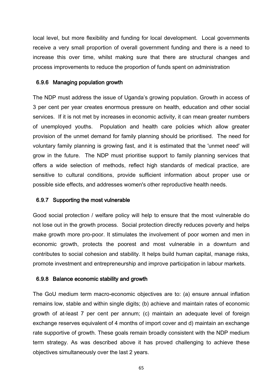local level, but more flexibility and funding for local development. Local governments receive a very small proportion of overall government funding and there is a need to increase this over time, whilst making sure that there are structural changes and process improvements to reduce the proportion of funds spent on administration

## 6.9.6 Managing population growth

The NDP must address the issue of Uganda's growing population. Growth in access of 3 per cent per year creates enormous pressure on health, education and other social services. If it is not met by increases in economic activity, it can mean greater numbers of unemployed youths. Population and health care policies which allow greater provision of the unmet demand for family planning should be prioritised. The need for voluntary family planning is growing fast, and it is estimated that the 'unmet need' will grow in the future. The NDP must prioritise support to family planning services that offers a wide selection of methods, reflect high standards of medical practice, are sensitive to cultural conditions, provide sufficient information about proper use or possible side effects, and addresses women's other reproductive health needs.

### 6.9.7 Supporting the most vulnerable

Good social protection / welfare policy will help to ensure that the most vulnerable do not lose out in the growth process. Social protection directly reduces poverty and helps make growth more pro-poor. It stimulates the involvement of poor women and men in economic growth, protects the poorest and most vulnerable in a downturn and contributes to social cohesion and stability. It helps build human capital, manage risks, promote investment and entrepreneurship and improve participation in labour markets.

### 6.9.8 Balance economic stability and growth

The GoU medium term macro-economic objectives are to: (a) ensure annual inflation remains low, stable and within single digits; (b) achieve and maintain rates of economic growth of at-least 7 per cent per annum; (c) maintain an adequate level of foreign exchange reserves equivalent of 4 months of import cover and d) maintain an exchange rate supportive of growth. These goals remain broadly consistent with the NDP medium term strategy. As was described above it has proved challenging to achieve these objectives simultaneously over the last 2 years.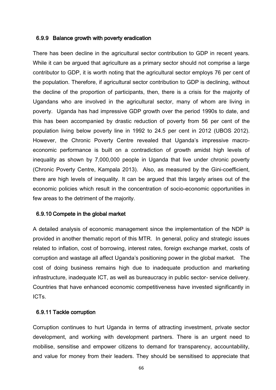### 6.9.9 Balance growth with poverty eradication

There has been decline in the agricultural sector contribution to GDP in recent years. While it can be argued that agriculture as a primary sector should not comprise a large contributor to GDP, it is worth noting that the agricultural sector employs 76 per cent of the population. Therefore, if agricultural sector contribution to GDP is declining, without the decline of the proportion of participants, then, there is a crisis for the majority of Ugandans who are involved in the agricultural sector, many of whom are living in poverty. Uganda has had impressive GDP growth over the period 1990s to date, and this has been accompanied by drastic reduction of poverty from 56 per cent of the population living below poverty line in 1992 to 24.5 per cent in 2012 (UBOS 2012). However, the Chronic Poverty Centre revealed that Uganda's impressive macroeconomic performance is built on a contradiction of growth amidst high levels of inequality as shown by 7,000,000 people in Uganda that live under chronic poverty (Chronic Poverty Centre, Kampala 2013). Also, as measured by the Gini-coefficient, there are high levels of inequality. It can be argued that this largely arises out of the economic policies which result in the concentration of socio-economic opportunities in few areas to the detriment of the majority.

## 6.9.10 Compete in the global market

A detailed analysis of economic management since the implementation of the NDP is provided in another thematic report of this MTR. In general, policy and strategic issues related to inflation, cost of borrowing, interest rates, foreign exchange market, costs of corruption and wastage all affect Uganda's positioning power in the global market. The cost of doing business remains high due to inadequate production and marketing infrastructure, inadequate ICT, as well as bureaucracy in public sector- service delivery. Countries that have enhanced economic competitiveness have invested significantly in ICTs.

### 6.9.11 Tackle corruption

Corruption continues to hurt Uganda in terms of attracting investment, private sector development, and working with development partners. There is an urgent need to mobilise, sensitise and empower citizens to demand for transparency, accountability, and value for money from their leaders. They should be sensitised to appreciate that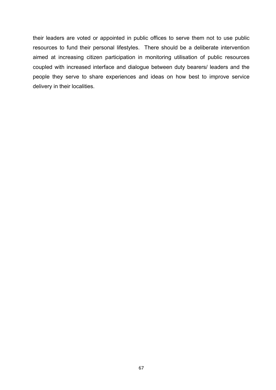their leaders are voted or appointed in public offices to serve them not to use public resources to fund their personal lifestyles. There should be a deliberate intervention aimed at increasing citizen participation in monitoring utilisation of public resources coupled with increased interface and dialogue between duty bearers/ leaders and the people they serve to share experiences and ideas on how best to improve service delivery in their localities.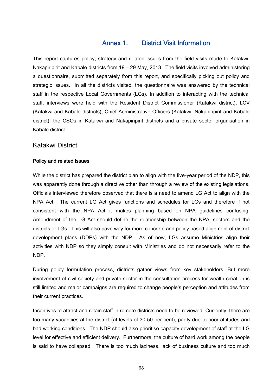# Annex 1. District Visit Information

This report captures policy, strategy and related issues from the field visits made to Katakwi, Nakapiripirit and Kabale districts from 19 – 29 May, 2013. The field visits involved administering a questionnaire, submitted separately from this report, and specifically picking out policy and strategic issues. In all the districts visited, the questionnaire was answered by the technical staff in the respective Local Governments (LGs). In addition to interacting with the technical staff, interviews were held with the Resident District Commissioner (Katakwi district), LCV (Katakwi and Kabale districts), Chief Administrative Officers (Katakwi, Nakapiripirit and Kabale district), the CSOs in Katakwi and Nakapiripirit districts and a private sector organisation in Kabale district.

## Katakwi District

### Policy and related issues

While the district has prepared the district plan to align with the five-year period of the NDP, this was apparently done through a directive other than through a review of the existing legislations. Officials interviewed therefore observed that there is a need to amend LG Act to align with the NPA Act. The current LG Act gives functions and schedules for LGs and therefore if not consistent with the NPA Act it makes planning based on NPA guidelines confusing. Amendment of the LG Act should define the relationship between the NPA, sectors and the districts or LGs. This will also pave way for more concrete and policy based alignment of district development plans (DDPs) with the NDP. As of now, LGs assume Ministries align their activities with NDP so they simply consult with Ministries and do not necessarily refer to the NDP.

During policy formulation process, districts gather views from key stakeholders. But more involvement of civil society and private sector in the consultation process for wealth creation is still limited and major campaigns are required to change people's perception and attitudes from their current practices.

Incentives to attract and retain staff in remote districts need to be reviewed. Currently, there are too many vacancies at the district (at levels of 30-50 per cent), partly due to poor attitudes and bad working conditions. The NDP should also prioritise capacity development of staff at the LG level for effective and efficient delivery. Furthermore, the culture of hard work among the people is said to have collapsed. There is too much laziness, lack of business culture and too much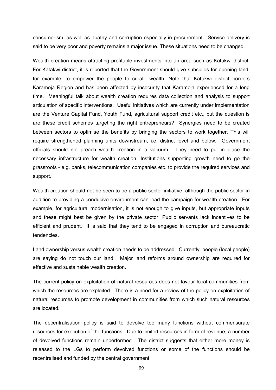consumerism, as well as apathy and corruption especially in procurement. Service delivery is said to be very poor and poverty remains a major issue. These situations need to be changed.

Wealth creation means attracting profitable investments into an area such as Katakwi district. For Katakwi district, it is reported that the Government should give subsidies for opening land, for example, to empower the people to create wealth. Note that Katakwi district borders Karamoja Region and has been affected by insecurity that Karamoja experienced for a long time. Meaningful talk about wealth creation requires data collection and analysis to support articulation of specific interventions. Useful initiatives which are currently under implementation are the Venture Capital Fund, Youth Fund, agricultural support credit etc., but the question is are these credit schemes targeting the right entrepreneurs? Synergies need to be created between sectors to optimise the benefits by bringing the sectors to work together. This will require strengthened planning units downstream, i.e. district level and below. Government officials should not preach wealth creation in a vacuum. They need to put in place the necessary infrastructure for wealth creation. Institutions supporting growth need to go the grassroots - e.g. banks, telecommunication companies etc. to provide the required services and support.

Wealth creation should not be seen to be a public sector initiative, although the public sector in addition to providing a conducive environment can lead the campaign for wealth creation. For example, for agricultural modernisation, it is not enough to give inputs, but appropriate inputs and these might best be given by the private sector. Public servants lack incentives to be efficient and prudent. It is said that they tend to be engaged in corruption and bureaucratic tendencies.

Land ownership versus wealth creation needs to be addressed. Currently, people (local people) are saying do not touch our land. Major land reforms around ownership are required for effective and sustainable wealth creation.

The current policy on exploitation of natural resources does not favour local communities from which the resources are exploited. There is a need for a review of the policy on exploitation of natural resources to promote development in communities from which such natural resources are located.

The decentralisation policy is said to devolve too many functions without commensurate resources for execution of the functions. Due to limited resources in form of revenue, a number of devolved functions remain unperformed. The district suggests that either more money is released to the LGs to perform devolved functions or some of the functions should be recentralised and funded by the central government.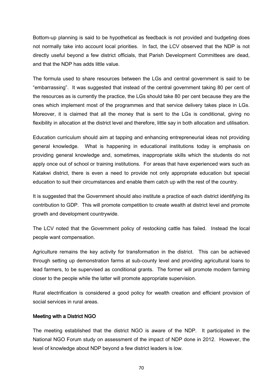Bottom-up planning is said to be hypothetical as feedback is not provided and budgeting does not normally take into account local priorities. In fact, the LCV observed that the NDP is not directly useful beyond a few district officials, that Parish Development Committees are dead, and that the NDP has adds little value.

The formula used to share resources between the LGs and central government is said to be "embarrassing". It was suggested that instead of the central government taking 80 per cent of the resources as is currently the practice, the LGs should take 80 per cent because they are the ones which implement most of the programmes and that service delivery takes place in LGs. Moreover, it is claimed that all the money that is sent to the LGs is conditional, giving no flexibility in allocation at the district level and therefore, little say in both allocation and utilisation.

Education curriculum should aim at tapping and enhancing entrepreneurial ideas not providing general knowledge. What is happening in educational institutions today is emphasis on providing general knowledge and, sometimes, inappropriate skills which the students do not apply once out of school or training institutions. For areas that have experienced wars such as Katakwi district, there is even a need to provide not only appropriate education but special education to suit their circumstances and enable them catch up with the rest of the country.

It is suggested that the Government should also institute a practice of each district identifying its contribution to GDP. This will promote competition to create wealth at district level and promote growth and development countrywide.

The LCV noted that the Government policy of restocking cattle has failed. Instead the local people want compensation.

Agriculture remains the key activity for transformation in the district. This can be achieved through setting up demonstration farms at sub-county level and providing agricultural loans to lead farmers, to be supervised as conditional grants. The former will promote modern farming closer to the people while the latter will promote appropriate supervision.

Rural electrification is considered a good policy for wealth creation and efficient provision of social services in rural areas.

### Meeting with a District NGO

The meeting established that the district NGO is aware of the NDP. It participated in the National NGO Forum study on assessment of the impact of NDP done in 2012. However, the level of knowledge about NDP beyond a few district leaders is low.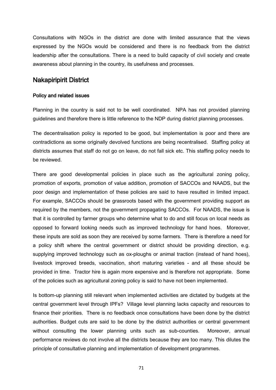Consultations with NGOs in the district are done with limited assurance that the views expressed by the NGOs would be considered and there is no feedback from the district leadership after the consultations. There is a need to build capacity of civil society and create awareness about planning in the country, its usefulness and processes.

## Nakapiripirit District

#### Policy and related issues

Planning in the country is said not to be well coordinated. NPA has not provided planning guidelines and therefore there is little reference to the NDP during district planning processes.

The decentralisation policy is reported to be good, but implementation is poor and there are contradictions as some originally devolved functions are being recentralised. Staffing policy at districts assumes that staff do not go on leave, do not fall sick etc. This staffing policy needs to be reviewed.

There are good developmental policies in place such as the agricultural zoning policy, promotion of exports, promotion of value addition, promotion of SACCOs and NAADS, but the poor design and implementation of these policies are said to have resulted in limited impact. For example, SACCOs should be grassroots based with the government providing support as required by the members, not the government propagating SACCOs. For NAADS, the issue is that it is controlled by farmer groups who determine what to do and still focus on local needs as opposed to forward looking needs such as improved technology for hand hoes. Moreover, these inputs are sold as soon they are received by some farmers. There is therefore a need for a policy shift where the central government or district should be providing direction, e.g. supplying improved technology such as ox-ploughs or animal traction (instead of hand hoes), livestock improved breeds, vaccination, short maturing varieties - and all these should be provided in time. Tractor hire is again more expensive and is therefore not appropriate. Some of the policies such as agricultural zoning policy is said to have not been implemented.

Is bottom-up planning still relevant when implemented activities are dictated by budgets at the central government level through IPFs? Village level planning lacks capacity and resources to finance their priorities. There is no feedback once consultations have been done by the district authorities. Budget cuts are said to be done by the district authorities or central government without consulting the lower planning units such as sub-counties. Moreover, annual performance reviews do not involve all the districts because they are too many. This dilutes the principle of consultative planning and implementation of development programmes.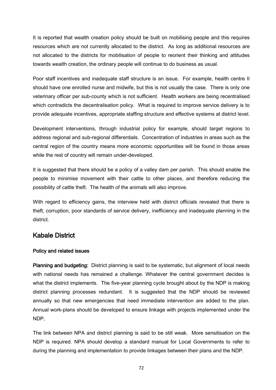It is reported that wealth creation policy should be built on mobilising people and this requires resources which are not currently allocated to the district. As long as additional resources are not allocated to the districts for mobilisation of people to reorient their thinking and attitudes towards wealth creation, the ordinary people will continue to do business as usual.

Poor staff incentives and inadequate staff structure is an issue. For example, health centre II should have one enrolled nurse and midwife, but this is not usually the case. There is only one veterinary officer per sub-county which is not sufficient. Health workers are being recentralised which contradicts the decentralisation policy. What is required to improve service delivery is to provide adequate incentives, appropriate staffing structure and effective systems at district level.

Development interventions, through industrial policy for example, should target regions to address regional and sub-regional differentials. Concentration of industries in areas such as the central region of the country means more economic opportunities will be found in those areas while the rest of country will remain under-developed.

It is suggested that there should be a policy of a valley dam per parish. This should enable the people to minimise movement with their cattle to other places, and therefore reducing the possibility of cattle theft. The health of the animals will also improve.

With regard to efficiency gains, the interview held with district officials revealed that there is theft, corruption, poor standards of service delivery, inefficiency and inadequate planning in the district.

# Kabale District

### Policy and related issues

Planning and budgeting: District planning is said to be systematic, but alignment of local needs with national needs has remained a challenge. Whatever the central government decides is what the district implements. The five-year planning cycle brought about by the NDP is making district planning processes redundant. It is suggested that the NDP should be reviewed annually so that new emergencies that need immediate intervention are added to the plan. Annual work-plans should be developed to ensure linkage with projects implemented under the NDP.

The link between NPA and district planning is said to be still weak. More sensitisation on the NDP is required. NPA should develop a standard manual for Local Governments to refer to during the planning and implementation to provide linkages between their plans and the NDP.

72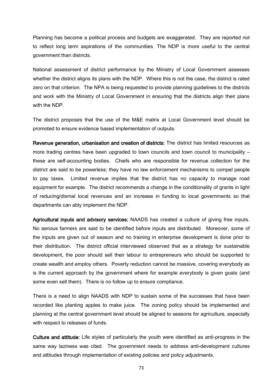Planning has become a political process and budgets are exaggerated. They are reported not to reflect long term aspirations of the communities. The NDP is more useful to the central government than districts.

National assessment of district performance by the Ministry of Local Government assesses whether the district aligns its plans with the NDP. Where this is not the case, the district is rated zero on that criterion. The NPA is being requested to provide planning guidelines to the districts and work with the Ministry of Local Government in ensuring that the districts align their plans with the NDP

The district proposes that the use of the M&E matrix at Local Government level should be promoted to ensure evidence based implementation of outputs.

Revenue generation, urbanisation and creation of districts: The district has limited resources as more trading centres have been upgraded to town councils and town council to municipality – these are self-accounting bodies. Chiefs who are responsible for revenue collection for the district are said to be powerless; they have no law enforcement mechanisms to compel people to pay taxes. Limited revenue implies that the district has no capacity to manage road equipment for example. The district recommends a change in the conditionality of grants in light of reducing/dismal local revenues and an increase in funding to local governments so that departments can ably implement the NDP.

Agricultural inputs and advisory services: NAADS has created a culture of giving free inputs. No serious farmers are said to be identified before inputs are distributed. Moreover, some of the inputs are given out of season and no training in enterprise development is done prior to their distribution. The district official interviewed observed that as a strategy for sustainable development, the poor should sell their labour to entrepreneurs who should be supported to create wealth and employ others. Poverty reduction cannot be massive, covering everybody as is the current approach by the government where for example everybody is given goats (and some even sell them). There is no follow up to ensure compliance.

There is a need to align NAADS with NDP to sustain some of the successes that have been recorded like planting apples to make juice. The zoning policy should be implemented and planning at the central government level should be aligned to seasons for agriculture, especially with respect to releases of funds.

Culture and attitude: Life styles of particularly the youth were identified as anti-progress in the same way laziness was cited. The government needs to address anti-development cultures and attitudes through implementation of existing policies and policy adjustments.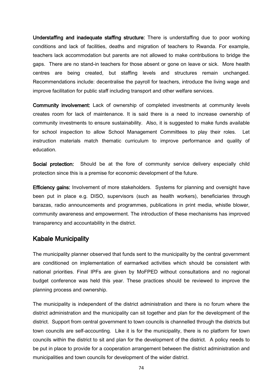Understaffing and inadequate staffing structure: There is understaffing due to poor working conditions and lack of facilities, deaths and migration of teachers to Rwanda. For example, teachers lack accommodation but parents are not allowed to make contributions to bridge the gaps. There are no stand-in teachers for those absent or gone on leave or sick. More health centres are being created, but staffing levels and structures remain unchanged. Recommendations include: decentralise the payroll for teachers, introduce the living wage and improve facilitation for public staff including transport and other welfare services.

Community involvement: Lack of ownership of completed investments at community levels creates room for lack of maintenance. It is said there is a need to increase ownership of community investments to ensure sustainability. Also, it is suggested to make funds available for school inspection to allow School Management Committees to play their roles. Let instruction materials match thematic curriculum to improve performance and quality of education.

Social protection: Should be at the fore of community service delivery especially child protection since this is a premise for economic development of the future.

Efficiency gains: Involvement of more stakeholders. Systems for planning and oversight have been put in place e.g. DISO, supervisors (such as health workers), beneficiaries through barazas, radio announcements and programmes, publications in print media, whistle blower, community awareness and empowerment. The introduction of these mechanisms has improved transparency and accountability in the district.

# Kabale Municipality

The municipality planner observed that funds sent to the municipality by the central government are conditioned on implementation of earmarked activities which should be consistent with national priorities. Final IPFs are given by MoFPED without consultations and no regional budget conference was held this year. These practices should be reviewed to improve the planning process and ownership.

The municipality is independent of the district administration and there is no forum where the district administration and the municipality can sit together and plan for the development of the district. Support from central government to town councils is channelled through the districts but town councils are self-accounting. Like it is for the municipality, there is no platform for town councils within the district to sit and plan for the development of the district. A policy needs to be put in place to provide for a cooperation arrangement between the district administration and municipalities and town councils for development of the wider district.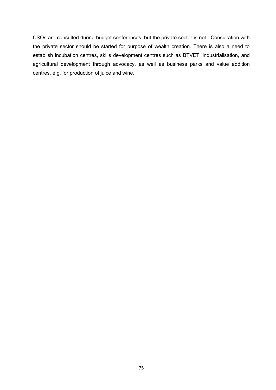CSOs are consulted during budget conferences, but the private sector is not. Consultation with the private sector should be started for purpose of wealth creation. There is also a need to establish incubation centres, skills development centres such as BTVET, industrialisation, and agricultural development through advocacy, as well as business parks and value addition centres, e.g. for production of juice and wine.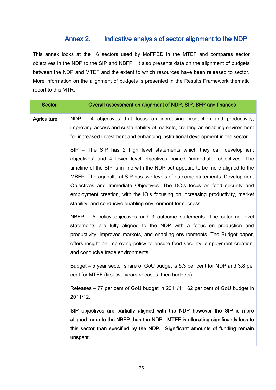# Annex 2. Indicative analysis of sector alignment to the NDP

This annex looks at the 16 sectors used by MoFPED in the MTEF and compares sector objectives in the NDP to the SIP and NBFP. It also presents data on the alignment of budgets between the NDP and MTEF and the extent to which resources have been released to sector. More information on the alignment of budgets is presented in the Results Framework thematic report to this MTR.

| <b>Sector</b>      | Overall assessment on alignment of NDP, SIP, BFP and finances                                                                                                                                                                                                                                                                                                                                                                                                                                                                                          |
|--------------------|--------------------------------------------------------------------------------------------------------------------------------------------------------------------------------------------------------------------------------------------------------------------------------------------------------------------------------------------------------------------------------------------------------------------------------------------------------------------------------------------------------------------------------------------------------|
| <b>Agriculture</b> | NDP - 4 objectives that focus on increasing production and productivity,<br>improving access and sustainability of markets, creating an enabling environment<br>for increased investment and enhancing institutional development in the sector.                                                                                                                                                                                                                                                                                                        |
|                    | SIP - The SIP has 2 high level statements which they call 'development<br>objectives' and 4 lower level objectives coined 'immediate' objectives. The<br>timeline of the SIP is in line with the NDP but appears to be more aligned to the<br>MBFP. The agricultural SIP has two levels of outcome statements: Development<br>Objectives and Immediate Objectives. The DO's focus on food security and<br>employment creation, with the IO's focusing on increasing productivity, market<br>stability, and conducive enabling environment for success. |
|                    | NBFP - 5 policy objectives and 3 outcome statements. The outcome level<br>statements are fully aligned to the NDP with a focus on production and<br>productivity, improved markets, and enabling environments. The Budget paper,<br>offers insight on improving policy to ensure food security, employment creation,<br>and conducive trade environments.                                                                                                                                                                                              |
|                    | Budget – 5 year sector share of GoU budget is 5.3 per cent for NDP and 3.8 per<br>cent for MTEF (first two years releases; then budgets).                                                                                                                                                                                                                                                                                                                                                                                                              |
|                    | Releases – 77 per cent of GoU budget in 2011/11; 62 per cent of GoU budget in<br>2011/12.                                                                                                                                                                                                                                                                                                                                                                                                                                                              |
|                    | SIP objectives are partially aligned with the NDP however the SIP is more<br>aligned more to the NBFP than the NDP. MTEF is allocating significantly less to<br>this sector than specified by the NDP. Significant amounts of funding remain<br>unspent.                                                                                                                                                                                                                                                                                               |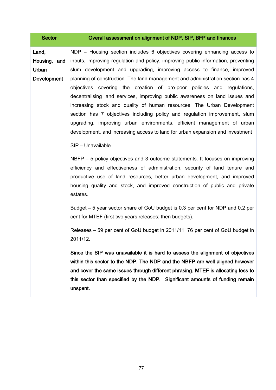| <b>Sector</b>                                        | Overall assessment on alignment of NDP, SIP, BFP and finances                                                                                                                                                                                                                                                                                                                                                                                                                                                                                                                                                                                                                                                                                                                                                                                                                                                                                                                                                                                                                                                                                                                                                                                                                                                                                                                                                                                                                                                                                                                                                                                                   |
|------------------------------------------------------|-----------------------------------------------------------------------------------------------------------------------------------------------------------------------------------------------------------------------------------------------------------------------------------------------------------------------------------------------------------------------------------------------------------------------------------------------------------------------------------------------------------------------------------------------------------------------------------------------------------------------------------------------------------------------------------------------------------------------------------------------------------------------------------------------------------------------------------------------------------------------------------------------------------------------------------------------------------------------------------------------------------------------------------------------------------------------------------------------------------------------------------------------------------------------------------------------------------------------------------------------------------------------------------------------------------------------------------------------------------------------------------------------------------------------------------------------------------------------------------------------------------------------------------------------------------------------------------------------------------------------------------------------------------------|
| Land,<br>Housing, and<br>Urban<br><b>Development</b> | NDP – Housing section includes 6 objectives covering enhancing access to<br>inputs, improving regulation and policy, improving public information, preventing<br>slum development and upgrading, improving access to finance, improved<br>planning of construction. The land management and administration section has 4<br>objectives covering the creation of pro-poor policies and regulations,<br>decentralising land services, improving public awareness on land issues and<br>increasing stock and quality of human resources. The Urban Development<br>section has 7 objectives including policy and regulation improvement, slum<br>upgrading, improving urban environments, efficient management of urban<br>development, and increasing access to land for urban expansion and investment<br>SIP - Unavailable.<br>NBFP – 5 policy objectives and 3 outcome statements. It focuses on improving<br>efficiency and effectiveness of administration, security of land tenure and<br>productive use of land resources, better urban development, and improved<br>housing quality and stock, and improved construction of public and private<br>estates.<br>Budget – 5 year sector share of GoU budget is 0.3 per cent for NDP and 0.2 per<br>cent for MTEF (first two years releases; then budgets).<br>Releases – 59 per cent of GoU budget in 2011/11; 76 per cent of GoU budget in<br>2011/12.<br>Since the SIP was unavailable it is hard to assess the alignment of objectives<br>within this sector to the NDP. The NDP and the NBFP are well aligned however<br>and cover the same issues through different phrasing. MTEF is allocating less to |
|                                                      | this sector than specified by the NDP. Significant amounts of funding remain<br>unspent.                                                                                                                                                                                                                                                                                                                                                                                                                                                                                                                                                                                                                                                                                                                                                                                                                                                                                                                                                                                                                                                                                                                                                                                                                                                                                                                                                                                                                                                                                                                                                                        |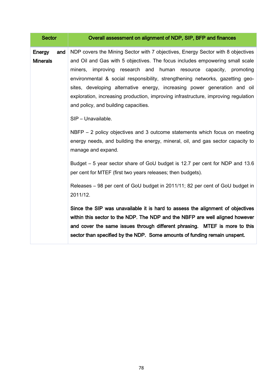| <b>Sector</b>                           | Overall assessment on alignment of NDP, SIP, BFP and finances                                                                                                                                                                                                                                                                                                                                                                                                                                                                                                |
|-----------------------------------------|--------------------------------------------------------------------------------------------------------------------------------------------------------------------------------------------------------------------------------------------------------------------------------------------------------------------------------------------------------------------------------------------------------------------------------------------------------------------------------------------------------------------------------------------------------------|
| <b>Energy</b><br>and<br><b>Minerals</b> | NDP covers the Mining Sector with 7 objectives, Energy Sector with 8 objectives<br>and Oil and Gas with 5 objectives. The focus includes empowering small scale<br>improving research and human resource capacity,<br>miners,<br>promoting<br>environmental & social responsibility, strengthening networks, gazetting geo-<br>sites, developing alternative energy, increasing power generation and oil<br>exploration, increasing production, improving infrastructure, improving regulation<br>and policy, and building capacities.<br>SIP - Unavailable. |
|                                         | NBFP $-$ 2 policy objectives and 3 outcome statements which focus on meeting<br>energy needs, and building the energy, mineral, oil, and gas sector capacity to<br>manage and expand.                                                                                                                                                                                                                                                                                                                                                                        |
|                                         | Budget – 5 year sector share of GoU budget is 12.7 per cent for NDP and 13.6<br>per cent for MTEF (first two years releases; then budgets).                                                                                                                                                                                                                                                                                                                                                                                                                  |
|                                         | Releases - 98 per cent of GoU budget in 2011/11; 82 per cent of GoU budget in<br>2011/12.                                                                                                                                                                                                                                                                                                                                                                                                                                                                    |
|                                         | Since the SIP was unavailable it is hard to assess the alignment of objectives<br>within this sector to the NDP. The NDP and the NBFP are well aligned however<br>and cover the same issues through different phrasing. MTEF is more to this<br>sector than specified by the NDP. Some amounts of funding remain unspent.                                                                                                                                                                                                                                    |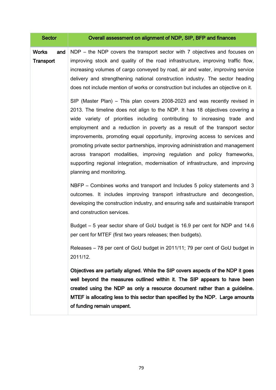| <b>Sector</b>                           | Overall assessment on alignment of NDP, SIP, BFP and finances                                                                                                                                                                                                                                                                                                                                                                                                                                                                                                                                                                                                                     |
|-----------------------------------------|-----------------------------------------------------------------------------------------------------------------------------------------------------------------------------------------------------------------------------------------------------------------------------------------------------------------------------------------------------------------------------------------------------------------------------------------------------------------------------------------------------------------------------------------------------------------------------------------------------------------------------------------------------------------------------------|
| <b>Works</b><br>and<br><b>Transport</b> | NDP – the NDP covers the transport sector with 7 objectives and focuses on<br>improving stock and quality of the road infrastructure, improving traffic flow,<br>increasing volumes of cargo conveyed by road, air and water, improving service<br>delivery and strengthening national construction industry. The sector heading<br>does not include mention of works or construction but includes an objective on it.                                                                                                                                                                                                                                                            |
|                                         | SIP (Master Plan) – This plan covers 2008-2023 and was recently revised in<br>2013. The timeline does not align to the NDP. It has 18 objectives covering a<br>wide variety of priorities including contributing to increasing trade and<br>employment and a reduction in poverty as a result of the transport sector<br>improvements, promoting equal opportunity, improving access to services and<br>promoting private sector partnerships, improving administration and management<br>across transport modalities, improving regulation and policy frameworks,<br>supporting regional integration, modernisation of infrastructure, and improving<br>planning and monitoring. |
|                                         | NBFP – Combines works and transport and Includes 5 policy statements and 3<br>outcomes. It includes improving transport infrastructure and decongestion,<br>developing the construction industry, and ensuring safe and sustainable transport<br>and construction services.                                                                                                                                                                                                                                                                                                                                                                                                       |
|                                         | Budget – 5 year sector share of GoU budget is 16.9 per cent for NDP and 14.6<br>per cent for MTEF (first two years releases; then budgets).                                                                                                                                                                                                                                                                                                                                                                                                                                                                                                                                       |
|                                         | Releases - 78 per cent of GoU budget in 2011/11; 79 per cent of GoU budget in<br>2011/12.                                                                                                                                                                                                                                                                                                                                                                                                                                                                                                                                                                                         |
|                                         | Objectives are partially aligned. While the SIP covers aspects of the NDP it goes<br>well beyond the measures outlined within it. The SIP appears to have been<br>created using the NDP as only a resource document rather than a guideline.<br>MTEF is allocating less to this sector than specified by the NDP. Large amounts<br>of funding remain unspent.                                                                                                                                                                                                                                                                                                                     |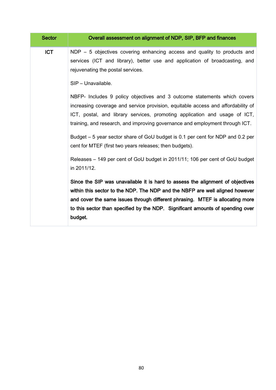| <b>Sector</b> | Overall assessment on alignment of NDP, SIP, BFP and finances                                                                                                                                                                                                                                                                                    |
|---------------|--------------------------------------------------------------------------------------------------------------------------------------------------------------------------------------------------------------------------------------------------------------------------------------------------------------------------------------------------|
| <b>ICT</b>    | $NDP - 5$ objectives covering enhancing access and quality to products and<br>services (ICT and library), better use and application of broadcasting, and<br>rejuvenating the postal services.                                                                                                                                                   |
|               | SIP - Unavailable.<br>NBFP- Includes 9 policy objectives and 3 outcome statements which covers<br>increasing coverage and service provision, equitable access and affordability of<br>ICT, postal, and library services, promoting application and usage of ICT,<br>training, and research, and improving governance and employment through ICT. |
|               | Budget – 5 year sector share of GoU budget is 0.1 per cent for NDP and 0.2 per<br>cent for MTEF (first two years releases; then budgets).                                                                                                                                                                                                        |
|               | Releases – 149 per cent of GoU budget in 2011/11; 106 per cent of GoU budget<br>in 2011/12.                                                                                                                                                                                                                                                      |
|               | Since the SIP was unavailable it is hard to assess the alignment of objectives<br>within this sector to the NDP. The NDP and the NBFP are well aligned however<br>and cover the same issues through different phrasing. MTEF is allocating more<br>to this sector than specified by the NDP. Significant amounts of spending over<br>budget.     |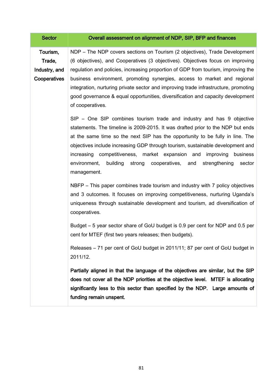| <b>Sector</b>                                       | Overall assessment on alignment of NDP, SIP, BFP and finances                                                                                                                                                                                                                                                                                                                                                                                                                                                               |
|-----------------------------------------------------|-----------------------------------------------------------------------------------------------------------------------------------------------------------------------------------------------------------------------------------------------------------------------------------------------------------------------------------------------------------------------------------------------------------------------------------------------------------------------------------------------------------------------------|
| Tourism,<br>Trade,<br>Industry, and<br>Cooperatives | NDP – The NDP covers sections on Tourism (2 objectives), Trade Development<br>(6 objectives), and Cooperatives (3 objectives). Objectives focus on improving<br>regulation and policies, increasing proportion of GDP from tourism, improving the<br>business environment, promoting synergies, access to market and regional<br>integration, nurturing private sector and improving trade infrastructure, promoting<br>good governance & equal opportunities, diversification and capacity development<br>of cooperatives. |
|                                                     | SIP - One SIP combines tourism trade and industry and has 9 objective<br>statements. The timeline is 2009-2015. It was drafted prior to the NDP but ends<br>at the same time so the next SIP has the opportunity to be fully in line. The<br>objectives include increasing GDP through tourism, sustainable development and<br>increasing competitiveness, market expansion and improving business<br>environment,<br>building<br>strong<br>cooperatives, and<br>strengthening<br>sector<br>management.                     |
|                                                     | NBFP – This paper combines trade tourism and industry with 7 policy objectives<br>and 3 outcomes. It focuses on improving competitiveness, nurturing Uganda's<br>uniqueness through sustainable development and tourism, ad diversification of<br>cooperatives.                                                                                                                                                                                                                                                             |
|                                                     | Budget – 5 year sector share of GoU budget is 0.9 per cent for NDP and 0.5 per<br>cent for MTEF (first two years releases; then budgets).                                                                                                                                                                                                                                                                                                                                                                                   |
|                                                     | Releases - 71 per cent of GoU budget in 2011/11; 87 per cent of GoU budget in<br>2011/12.                                                                                                                                                                                                                                                                                                                                                                                                                                   |
|                                                     | Partially aligned in that the language of the objectives are similar, but the SIP<br>does not cover all the NDP priorities at the objective level. MTEF is allocating<br>significantly less to this sector than specified by the NDP. Large amounts of<br>funding remain unspent.                                                                                                                                                                                                                                           |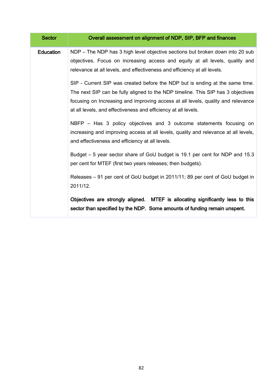| <b>Sector</b>    | Overall assessment on alignment of NDP, SIP, BFP and finances                                                                                                                                                                                                                                                          |
|------------------|------------------------------------------------------------------------------------------------------------------------------------------------------------------------------------------------------------------------------------------------------------------------------------------------------------------------|
| <b>Education</b> | NDP - The NDP has 3 high level objective sections but broken down into 20 sub<br>objectives. Focus on increasing access and equity at all levels, quality and<br>relevance at all levels, and effectiveness and efficiency at all levels.                                                                              |
|                  | SIP - Current SIP was created before the NDP but is ending at the same time.<br>The next SIP can be fully aligned to the NDP timeline. This SIP has 3 objectives<br>focusing on Increasing and improving access at all levels, quality and relevance<br>at all levels, and effectiveness and efficiency at all levels. |
|                  | NBFP – Has 3 policy objectives and 3 outcome statements focusing on<br>increasing and improving access at all levels, quality and relevance at all levels,<br>and effectiveness and efficiency at all levels.                                                                                                          |
|                  | Budget – 5 year sector share of GoU budget is 19.1 per cent for NDP and 15.3<br>per cent for MTEF (first two years releases; then budgets).                                                                                                                                                                            |
|                  | Releases - 91 per cent of GoU budget in 2011/11; 89 per cent of GoU budget in<br>2011/12.                                                                                                                                                                                                                              |
|                  | Objectives are strongly aligned. MTEF is allocating significantly less to this<br>sector than specified by the NDP. Some amounts of funding remain unspent.                                                                                                                                                            |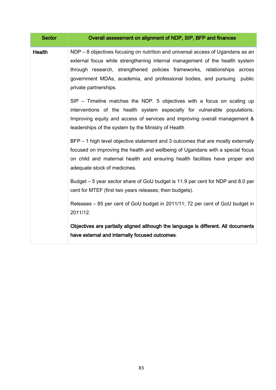| <b>Sector</b> | Overall assessment on alignment of NDP, SIP, BFP and finances                                                                                                                                                                                                                                                                                                                                                                                                                                                                                                                                                                                                                                                                                                                                                                                                                                                                                                                                                                                                                     |
|---------------|-----------------------------------------------------------------------------------------------------------------------------------------------------------------------------------------------------------------------------------------------------------------------------------------------------------------------------------------------------------------------------------------------------------------------------------------------------------------------------------------------------------------------------------------------------------------------------------------------------------------------------------------------------------------------------------------------------------------------------------------------------------------------------------------------------------------------------------------------------------------------------------------------------------------------------------------------------------------------------------------------------------------------------------------------------------------------------------|
| <b>Health</b> | NDP - 8 objectives focusing on nutrition and universal access of Ugandans as an<br>external focus while strengthening internal management of the health system<br>through research, strengthened policies frameworks, relationships across<br>government MDAs, academia, and professional bodies, and pursuing<br>public<br>private partnerships.<br>SIP - Timeline matches the NDP. 5 objectives with a focus on scaling up<br>interventions of the health system especially for vulnerable populations.<br>Improving equity and access of services and improving overall management &<br>leaderships of the system by the Ministry of Health<br>BFP – 1 high level objective statement and 3 outcomes that are mostly externally<br>focused on improving the health and wellbeing of Ugandans with a special focus<br>on child and maternal health and ensuring health facilities have proper and<br>adequate stock of medicines.<br>Budget - 5 year sector share of GoU budget is 11.9 per cent for NDP and 8.0 per<br>cent for MTEF (first two years releases; then budgets). |
|               | Releases - 85 per cent of GoU budget in 2011/11; 72 per cent of GoU budget in<br>2011/12.<br>Objectives are partially aligned although the language is different. All documents<br>have external and internally focused outcomes.                                                                                                                                                                                                                                                                                                                                                                                                                                                                                                                                                                                                                                                                                                                                                                                                                                                 |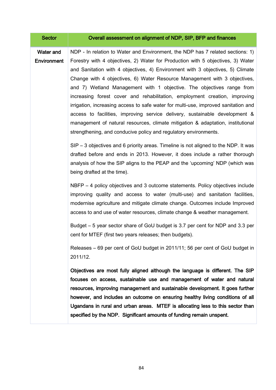| <b>Sector</b>                   | Overall assessment on alignment of NDP, SIP, BFP and finances                                                                                                                                                                                                                                                                                                                                                                                                                                                                                                                                                                                                                                                                                                                                                       |
|---------------------------------|---------------------------------------------------------------------------------------------------------------------------------------------------------------------------------------------------------------------------------------------------------------------------------------------------------------------------------------------------------------------------------------------------------------------------------------------------------------------------------------------------------------------------------------------------------------------------------------------------------------------------------------------------------------------------------------------------------------------------------------------------------------------------------------------------------------------|
| <b>Water and</b><br>Environment | NDP - In relation to Water and Environment, the NDP has 7 related sections: 1)<br>Forestry with 4 objectives, 2) Water for Production with 5 objectives, 3) Water<br>and Sanitation with 4 objectives, 4) Environment with 3 objectives, 5) Climate<br>Change with 4 objectives, 6) Water Resource Management with 3 objectives,<br>and 7) Wetland Management with 1 objective. The objectives range from<br>increasing forest cover and rehabilitation, employment creation, improving<br>irrigation, increasing access to safe water for multi-use, improved sanitation and<br>access to facilities, improving service delivery, sustainable development &<br>management of natural resources, climate mitigation & adaptation, institutional<br>strengthening, and conducive policy and regulatory environments. |
|                                 | $SIP - 3$ objectives and 6 priority areas. Timeline is not aligned to the NDP. It was<br>drafted before and ends in 2013. However, it does include a rather thorough<br>analysis of how the SIP aligns to the PEAP and the 'upcoming' NDP (which was<br>being drafted at the time).                                                                                                                                                                                                                                                                                                                                                                                                                                                                                                                                 |
|                                 | NBFP – 4 policy objectives and 3 outcome statements. Policy objectives include<br>improving quality and access to water (multi-use) and sanitation facilities,<br>modernise agriculture and mitigate climate change. Outcomes include Improved<br>access to and use of water resources, climate change & weather management.                                                                                                                                                                                                                                                                                                                                                                                                                                                                                        |
|                                 | Budget – 5 year sector share of GoU budget is 3.7 per cent for NDP and 3.3 per<br>cent for MTEF (first two years releases; then budgets).                                                                                                                                                                                                                                                                                                                                                                                                                                                                                                                                                                                                                                                                           |
|                                 | Releases - 69 per cent of GoU budget in 2011/11; 56 per cent of GoU budget in<br>2011/12.                                                                                                                                                                                                                                                                                                                                                                                                                                                                                                                                                                                                                                                                                                                           |
|                                 | Objectives are most fully aligned although the language is different. The SIP<br>focuses on access, sustainable use and management of water and natural<br>resources, improving management and sustainable development. It goes further<br>however, and includes an outcome on ensuring healthy living conditions of all<br>Ugandans in rural and urban areas. MTEF is allocating less to this sector than<br>specified by the NDP. Significant amounts of funding remain unspent.                                                                                                                                                                                                                                                                                                                                  |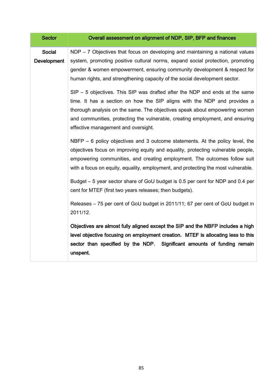| <b>Sector</b>         | Overall assessment on alignment of NDP, SIP, BFP and finances                                                                                                                                                                                                                                                                                                 |
|-----------------------|---------------------------------------------------------------------------------------------------------------------------------------------------------------------------------------------------------------------------------------------------------------------------------------------------------------------------------------------------------------|
| Social<br>Development | $NDP - 7$ Objectives that focus on developing and maintaining a national values<br>system, promoting positive cultural norms, expand social protection, promoting<br>gender & women empowerment, ensuring community development & respect for<br>human rights, and strengthening capacity of the social development sector.                                   |
|                       | SIP - 5 objectives. This SIP was drafted after the NDP and ends at the same<br>time. It has a section on how the SIP aligns with the NDP and provides a<br>thorough analysis on the same. The objectives speak about empowering women<br>and communities, protecting the vulnerable, creating employment, and ensuring<br>effective management and oversight. |
|                       | NBFP $-6$ policy objectives and 3 outcome statements. At the policy level, the<br>objectives focus on improving equity and equality, protecting vulnerable people,<br>empowering communities, and creating employment. The outcomes follow suit<br>with a focus on equity, equality, employment, and protecting the most vulnerable.                          |
|                       | Budget – 5 year sector share of GoU budget is 0.5 per cent for NDP and 0.4 per<br>cent for MTEF (first two years releases; then budgets).                                                                                                                                                                                                                     |
|                       | Releases - 75 per cent of GoU budget in 2011/11; 67 per cent of GoU budget in<br>2011/12.                                                                                                                                                                                                                                                                     |
|                       | Objectives are almost fully aligned except the SIP and the NBFP includes a high<br>level objective focusing on employment creation. MTEF is allocating less to this<br>sector than specified by the NDP. Significant amounts of funding remain<br>unspent.                                                                                                    |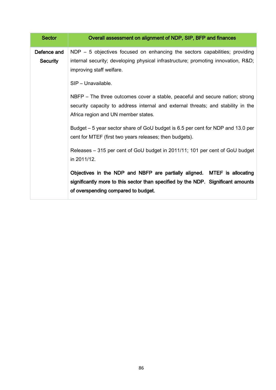| <b>Sector</b>                  | Overall assessment on alignment of NDP, SIP, BFP and finances                                                                                                                                           |
|--------------------------------|---------------------------------------------------------------------------------------------------------------------------------------------------------------------------------------------------------|
| Defence and<br><b>Security</b> | $NDP - 5$ objectives focused on enhancing the sectors capabilities; providing<br>internal security; developing physical infrastructure; promoting innovation, R&D<br>improving staff welfare.           |
|                                | SIP - Unavailable.                                                                                                                                                                                      |
|                                | NBFP – The three outcomes cover a stable, peaceful and secure nation; strong<br>security capacity to address internal and external threats; and stability in the<br>Africa region and UN member states. |
|                                | Budget – 5 year sector share of GoU budget is 6.5 per cent for NDP and 13.0 per<br>cent for MTEF (first two years releases; then budgets).                                                              |
|                                | Releases - 315 per cent of GoU budget in 2011/11; 101 per cent of GoU budget<br>in 2011/12.                                                                                                             |
|                                | Objectives in the NDP and NBFP are partially aligned. MTEF is allocating<br>significantly more to this sector than specified by the NDP. Significant amounts<br>of overspending compared to budget.     |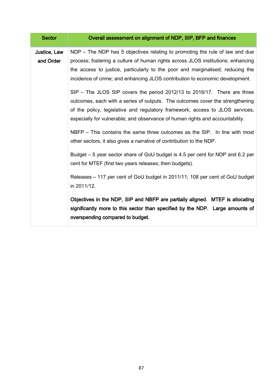| <b>Sector</b>             | Overall assessment on alignment of NDP, SIP, BFP and finances                                                                                                                                                                                                                                                                                                                                                                                                                                                                                                                                                                                                                                                                                                                                                                                                                                                                                                        |
|---------------------------|----------------------------------------------------------------------------------------------------------------------------------------------------------------------------------------------------------------------------------------------------------------------------------------------------------------------------------------------------------------------------------------------------------------------------------------------------------------------------------------------------------------------------------------------------------------------------------------------------------------------------------------------------------------------------------------------------------------------------------------------------------------------------------------------------------------------------------------------------------------------------------------------------------------------------------------------------------------------|
| Justice, Law<br>and Order | NDP – The NDP has 5 objectives relating to promoting the rule of law and due<br>process; fostering a culture of human rights across JLOS institutions; enhancing<br>the access to justice, particularly to the poor and marginalised; reducing the<br>incidence of crime; and enhancing JLOS contribution to economic development.<br>SIP – The JLOS SIP covers the period 2012/13 to 2016/17. There are three<br>outcomes, each with a series of outputs. The outcomes cover the strengthening<br>of the policy, legislative and regulatory framework; access to JLOS services,<br>especially for vulnerable; and observance of human rights and accountability.<br>NBFP – This contains the same three outcomes as the SIP. In line with most<br>other sectors, it also gives a narrative of contribution to the NDP.<br>Budget - 5 year sector share of GoU budget is 4.5 per cent for NDP and 6.2 per<br>cent for MTEF (first two years releases; then budgets). |
|                           | Releases – 117 per cent of GoU budget in 2011/11; 108 per cent of GoU budget<br>in 2011/12.                                                                                                                                                                                                                                                                                                                                                                                                                                                                                                                                                                                                                                                                                                                                                                                                                                                                          |
|                           | Objectives in the NDP, SIP and NBFP are partially aligned. MTEF is allocating<br>significantly more to this sector than specified by the NDP. Large amounts of<br>overspending compared to budget.                                                                                                                                                                                                                                                                                                                                                                                                                                                                                                                                                                                                                                                                                                                                                                   |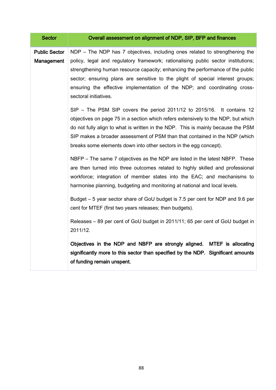| <b>Sector</b>                      | Overall assessment on alignment of NDP, SIP, BFP and finances                                                                                                                                                                                                                                                                                                                                                                              |
|------------------------------------|--------------------------------------------------------------------------------------------------------------------------------------------------------------------------------------------------------------------------------------------------------------------------------------------------------------------------------------------------------------------------------------------------------------------------------------------|
| <b>Public Sector</b><br>Management | NDP - The NDP has 7 objectives, including ones related to strengthening the<br>policy, legal and regulatory framework; rationalising public sector institutions;<br>strengthening human resource capacity; enhancing the performance of the public<br>sector; ensuring plans are sensitive to the plight of special interest groups;<br>ensuring the effective implementation of the NDP; and coordinating cross-<br>sectoral initiatives. |
|                                    | SIP – The PSM SIP covers the period 2011/12 to 2015/16. It contains 12<br>objectives on page 75 in a section which refers extensively to the NDP, but which<br>do not fully align to what is written in the NDP. This is mainly because the PSM<br>SIP makes a broader assessment of PSM than that contained in the NDP (which<br>breaks some elements down into other sectors in the egg concept).                                        |
|                                    | NBFP – The same 7 objectives as the NDP are listed in the latest NBFP. These<br>are then turned into three outcomes related to highly skilled and professional<br>workforce; integration of member states into the EAC; and mechanisms to<br>harmonise planning, budgeting and monitoring at national and local levels.<br>Budget – 5 year sector share of GoU budget is 7.5 per cent for NDP and 9.6 per                                  |
|                                    | cent for MTEF (first two years releases; then budgets).<br>Releases - 89 per cent of GoU budget in 2011/11; 65 per cent of GoU budget in<br>2011/12.                                                                                                                                                                                                                                                                                       |
|                                    | Objectives in the NDP and NBFP are strongly aligned. MTEF is allocating<br>significantly more to this sector than specified by the NDP. Significant amounts<br>of funding remain unspent.                                                                                                                                                                                                                                                  |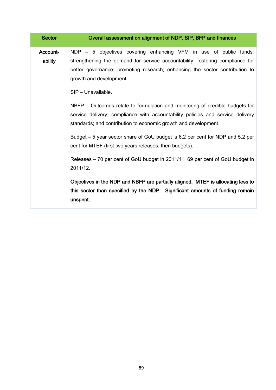| <b>Sector</b>       | Overall assessment on alignment of NDP, SIP, BFP and finances                                                                                                                                                                                                                      |
|---------------------|------------------------------------------------------------------------------------------------------------------------------------------------------------------------------------------------------------------------------------------------------------------------------------|
| Account-<br>ability | NDP – 5 objectives covering enhancing VFM in use of public funds;<br>strengthening the demand for service accountability; fostering compliance for<br>better governance; promoting research; enhancing the sector contribution to<br>growth and development.<br>SIP - Unavailable. |
|                     | NBFP – Outcomes relate to formulation and monitoring of credible budgets for<br>service delivery; compliance with accountability policies and service delivery<br>standards; and contribution to economic growth and development.                                                  |
|                     | Budget – 5 year sector share of GoU budget is 6.2 per cent for NDP and 5.2 per<br>cent for MTEF (first two years releases; then budgets).                                                                                                                                          |
|                     | Releases – 70 per cent of GoU budget in 2011/11; 69 per cent of GoU budget in<br>2011/12.                                                                                                                                                                                          |
|                     | Objectives in the NDP and NBFP are partially aligned. MTEF is allocating less to<br>this sector than specified by the NDP. Significant amounts of funding remain<br>unspent.                                                                                                       |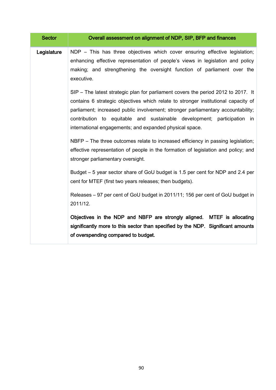| <b>Sector</b> | Overall assessment on alignment of NDP, SIP, BFP and finances                                                                                                                                                                                                                                                                                                                                     |
|---------------|---------------------------------------------------------------------------------------------------------------------------------------------------------------------------------------------------------------------------------------------------------------------------------------------------------------------------------------------------------------------------------------------------|
| Legislature   | NDP - This has three objectives which cover ensuring effective legislation;<br>enhancing effective representation of people's views in legislation and policy<br>making; and strengthening the oversight function of parliament over the<br>executive.                                                                                                                                            |
|               | SIP – The latest strategic plan for parliament covers the period 2012 to 2017. It<br>contains 6 strategic objectives which relate to stronger institutional capacity of<br>parliament; increased public involvement; stronger parliamentary accountability;<br>contribution to equitable and sustainable development; participation in<br>international engagements; and expanded physical space. |
|               | NBFP – The three outcomes relate to increased efficiency in passing legislation;<br>effective representation of people in the formation of legislation and policy; and<br>stronger parliamentary oversight.                                                                                                                                                                                       |
|               | Budget – 5 year sector share of GoU budget is 1.5 per cent for NDP and 2.4 per<br>cent for MTEF (first two years releases; then budgets).                                                                                                                                                                                                                                                         |
|               | Releases - 97 per cent of GoU budget in 2011/11; 156 per cent of GoU budget in<br>2011/12.                                                                                                                                                                                                                                                                                                        |
|               | Objectives in the NDP and NBFP are strongly aligned. MTEF is allocating<br>significantly more to this sector than specified by the NDP. Significant amounts<br>of overspending compared to budget.                                                                                                                                                                                                |